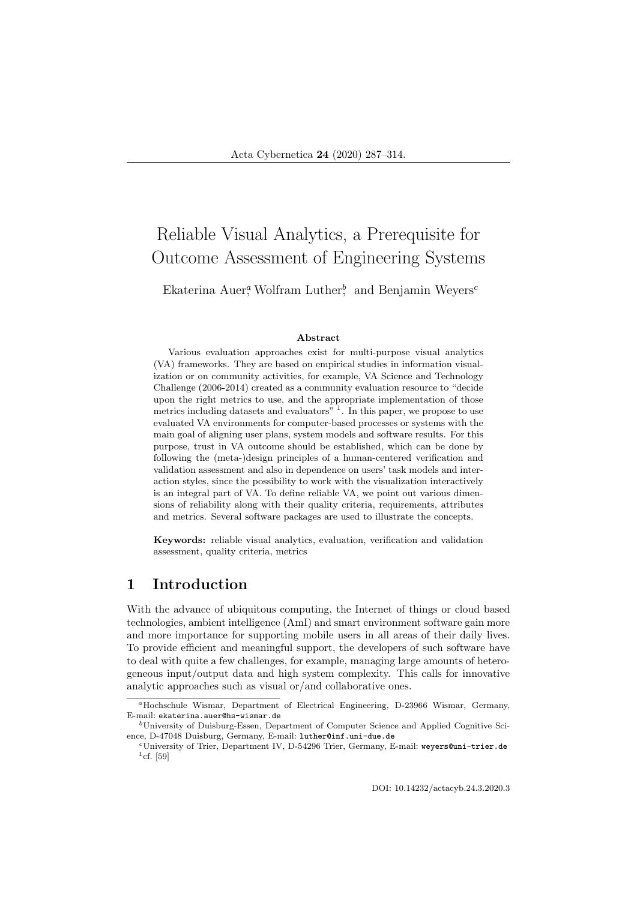# Reliable Visual Analytics, a Prerequisite for Outcome Assessment of Engineering Systems

Ekaterina Auer,<sup>a</sup> Wolfram Luther,<sup>b</sup> and Benjamin Weyers<sup>c</sup>

#### Abstract

Various evaluation approaches exist for multi-purpose visual analytics (VA) frameworks. They are based on empirical studies in information visualization or on community activities, for example, VA Science and Technology Challenge (2006-2014) created as a community evaluation resource to "decide upon the right metrics to use, and the appropriate implementation of those metrics including datasets and evaluators"<sup>1</sup>. In this paper, we propose to use evaluated VA environments for computer-based processes or systems with the main goal of aligning user plans, system models and software results. For this purpose, trust in VA outcome should be established, which can be done by following the (meta-)design principles of a human-centered verification and validation assessment and also in dependence on users' task models and interaction styles, since the possibility to work with the visualization interactively is an integral part of VA. To define reliable VA, we point out various dimensions of reliability along with their quality criteria, requirements, attributes and metrics. Several software packages are used to illustrate the concepts.

Keywords: reliable visual analytics, evaluation, verification and validation assessment, quality criteria, metrics

### 1 Introduction

With the advance of ubiquitous computing, the Internet of things or cloud based technologies, ambient intelligence (AmI) and smart environment software gain more and more importance for supporting mobile users in all areas of their daily lives. To provide efficient and meaningful support, the developers of such software have to deal with quite a few challenges, for example, managing large amounts of heterogeneous input/output data and high system complexity. This calls for innovative analytic approaches such as visual or/and collaborative ones.

<sup>a</sup>Hochschule Wismar, Department of Electrical Engineering, D-23966 Wismar, Germany, E-mail: ekaterina.auer@hs-wismar.de

 $b$ University of Duisburg-Essen, Department of Computer Science and Applied Cognitive Science, D-47048 Duisburg, Germany, E-mail: luther@inf.uni-due.de

<sup>c</sup>University of Trier, Department IV, D-54296 Trier, Germany, E-mail: weyers@uni-trier.de  $^{1}$ cf. [59]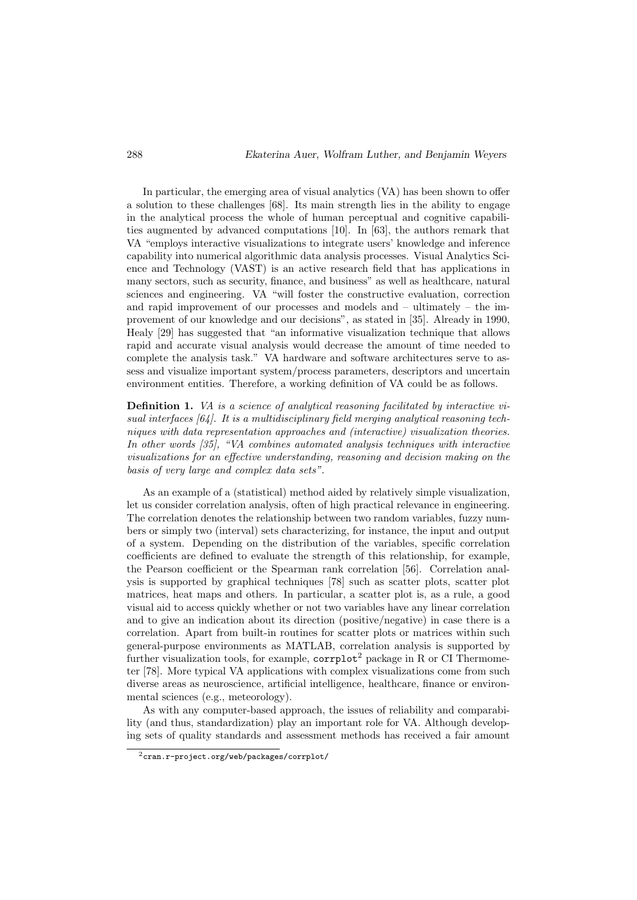In particular, the emerging area of visual analytics (VA) has been shown to offer a solution to these challenges [68]. Its main strength lies in the ability to engage in the analytical process the whole of human perceptual and cognitive capabilities augmented by advanced computations [10]. In [63], the authors remark that VA "employs interactive visualizations to integrate users' knowledge and inference capability into numerical algorithmic data analysis processes. Visual Analytics Science and Technology (VAST) is an active research field that has applications in many sectors, such as security, finance, and business" as well as healthcare, natural sciences and engineering. VA "will foster the constructive evaluation, correction and rapid improvement of our processes and models and – ultimately – the improvement of our knowledge and our decisions", as stated in [35]. Already in 1990, Healy [29] has suggested that "an informative visualization technique that allows rapid and accurate visual analysis would decrease the amount of time needed to complete the analysis task." VA hardware and software architectures serve to assess and visualize important system/process parameters, descriptors and uncertain environment entities. Therefore, a working definition of VA could be as follows.

Definition 1. VA is a science of analytical reasoning facilitated by interactive visual interfaces  $[64]$ . It is a multidisciplinary field merging analytical reasoning techniques with data representation approaches and (interactive) visualization theories. In other words [35], "VA combines automated analysis techniques with interactive visualizations for an effective understanding, reasoning and decision making on the basis of very large and complex data sets".

As an example of a (statistical) method aided by relatively simple visualization, let us consider correlation analysis, often of high practical relevance in engineering. The correlation denotes the relationship between two random variables, fuzzy numbers or simply two (interval) sets characterizing, for instance, the input and output of a system. Depending on the distribution of the variables, specific correlation coefficients are defined to evaluate the strength of this relationship, for example, the Pearson coefficient or the Spearman rank correlation [56]. Correlation analysis is supported by graphical techniques [78] such as scatter plots, scatter plot matrices, heat maps and others. In particular, a scatter plot is, as a rule, a good visual aid to access quickly whether or not two variables have any linear correlation and to give an indication about its direction (positive/negative) in case there is a correlation. Apart from built-in routines for scatter plots or matrices within such general-purpose environments as MATLAB, correlation analysis is supported by further visualization tools, for example,  $\text{corrplot}^2$  package in R or CI Thermometer [78]. More typical VA applications with complex visualizations come from such diverse areas as neuroscience, artificial intelligence, healthcare, finance or environmental sciences (e.g., meteorology).

As with any computer-based approach, the issues of reliability and comparability (and thus, standardization) play an important role for VA. Although developing sets of quality standards and assessment methods has received a fair amount

<sup>2</sup>cran.r-project.org/web/packages/corrplot/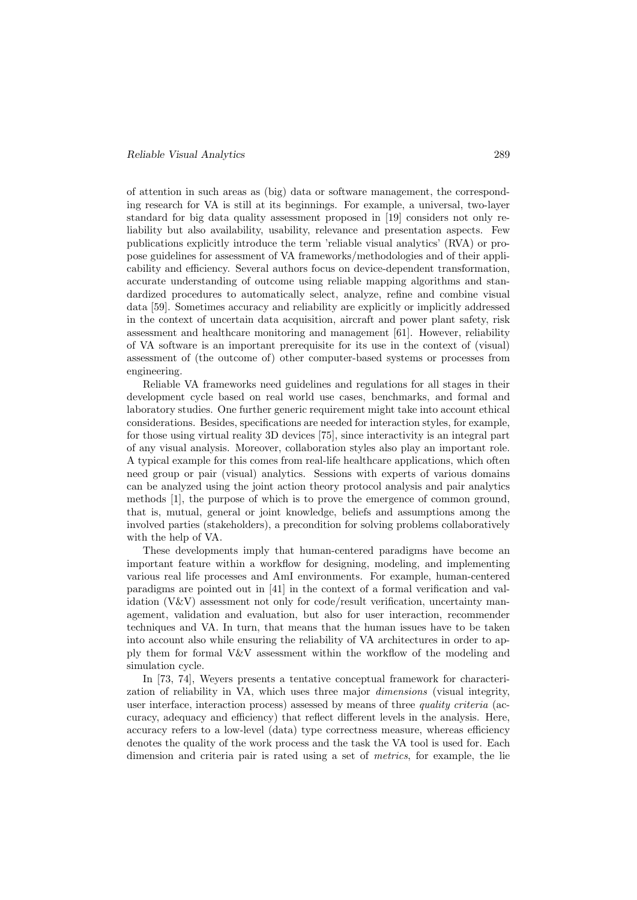#### Reliable Visual Analytics 289

of attention in such areas as (big) data or software management, the corresponding research for VA is still at its beginnings. For example, a universal, two-layer standard for big data quality assessment proposed in [19] considers not only reliability but also availability, usability, relevance and presentation aspects. Few publications explicitly introduce the term 'reliable visual analytics' (RVA) or propose guidelines for assessment of VA frameworks/methodologies and of their applicability and efficiency. Several authors focus on device-dependent transformation, accurate understanding of outcome using reliable mapping algorithms and standardized procedures to automatically select, analyze, refine and combine visual data [59]. Sometimes accuracy and reliability are explicitly or implicitly addressed in the context of uncertain data acquisition, aircraft and power plant safety, risk assessment and healthcare monitoring and management [61]. However, reliability of VA software is an important prerequisite for its use in the context of (visual) assessment of (the outcome of) other computer-based systems or processes from engineering.

Reliable VA frameworks need guidelines and regulations for all stages in their development cycle based on real world use cases, benchmarks, and formal and laboratory studies. One further generic requirement might take into account ethical considerations. Besides, specifications are needed for interaction styles, for example, for those using virtual reality 3D devices [75], since interactivity is an integral part of any visual analysis. Moreover, collaboration styles also play an important role. A typical example for this comes from real-life healthcare applications, which often need group or pair (visual) analytics. Sessions with experts of various domains can be analyzed using the joint action theory protocol analysis and pair analytics methods [1], the purpose of which is to prove the emergence of common ground, that is, mutual, general or joint knowledge, beliefs and assumptions among the involved parties (stakeholders), a precondition for solving problems collaboratively with the help of VA.

These developments imply that human-centered paradigms have become an important feature within a workflow for designing, modeling, and implementing various real life processes and AmI environments. For example, human-centered paradigms are pointed out in [41] in the context of a formal verification and validation (V&V) assessment not only for code/result verification, uncertainty management, validation and evaluation, but also for user interaction, recommender techniques and VA. In turn, that means that the human issues have to be taken into account also while ensuring the reliability of VA architectures in order to apply them for formal V&V assessment within the workflow of the modeling and simulation cycle.

In [73, 74], Weyers presents a tentative conceptual framework for characterization of reliability in VA, which uses three major dimensions (visual integrity, user interface, interaction process) assessed by means of three *quality criteria* (accuracy, adequacy and efficiency) that reflect different levels in the analysis. Here, accuracy refers to a low-level (data) type correctness measure, whereas efficiency denotes the quality of the work process and the task the VA tool is used for. Each dimension and criteria pair is rated using a set of metrics, for example, the lie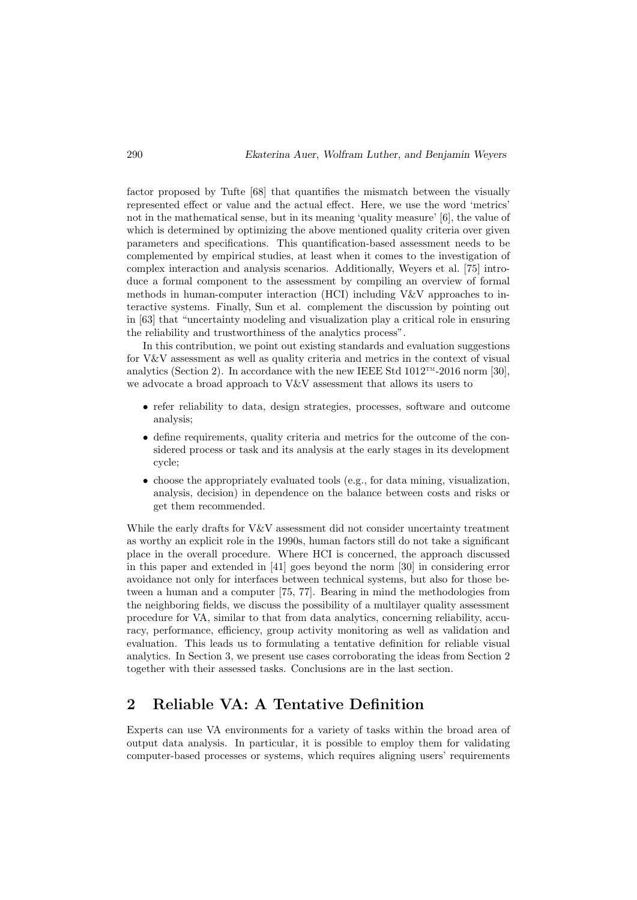factor proposed by Tufte [68] that quantifies the mismatch between the visually represented effect or value and the actual effect. Here, we use the word 'metrics' not in the mathematical sense, but in its meaning 'quality measure' [6], the value of which is determined by optimizing the above mentioned quality criteria over given parameters and specifications. This quantification-based assessment needs to be complemented by empirical studies, at least when it comes to the investigation of complex interaction and analysis scenarios. Additionally, Weyers et al. [75] introduce a formal component to the assessment by compiling an overview of formal methods in human-computer interaction (HCI) including V&V approaches to interactive systems. Finally, Sun et al. complement the discussion by pointing out in [63] that "uncertainty modeling and visualization play a critical role in ensuring the reliability and trustworthiness of the analytics process".

In this contribution, we point out existing standards and evaluation suggestions for V&V assessment as well as quality criteria and metrics in the context of visual analytics (Section 2). In accordance with the new IEEE Std  $1012^{TM}$ -2016 norm [30], we advocate a broad approach to V&V assessment that allows its users to

- refer reliability to data, design strategies, processes, software and outcome analysis;
- define requirements, quality criteria and metrics for the outcome of the considered process or task and its analysis at the early stages in its development cycle;
- choose the appropriately evaluated tools (e.g., for data mining, visualization, analysis, decision) in dependence on the balance between costs and risks or get them recommended.

While the early drafts for V&V assessment did not consider uncertainty treatment as worthy an explicit role in the 1990s, human factors still do not take a significant place in the overall procedure. Where HCI is concerned, the approach discussed in this paper and extended in [41] goes beyond the norm [30] in considering error avoidance not only for interfaces between technical systems, but also for those between a human and a computer [75, 77]. Bearing in mind the methodologies from the neighboring fields, we discuss the possibility of a multilayer quality assessment procedure for VA, similar to that from data analytics, concerning reliability, accuracy, performance, efficiency, group activity monitoring as well as validation and evaluation. This leads us to formulating a tentative definition for reliable visual analytics. In Section 3, we present use cases corroborating the ideas from Section 2 together with their assessed tasks. Conclusions are in the last section.

# 2 Reliable VA: A Tentative Definition

Experts can use VA environments for a variety of tasks within the broad area of output data analysis. In particular, it is possible to employ them for validating computer-based processes or systems, which requires aligning users' requirements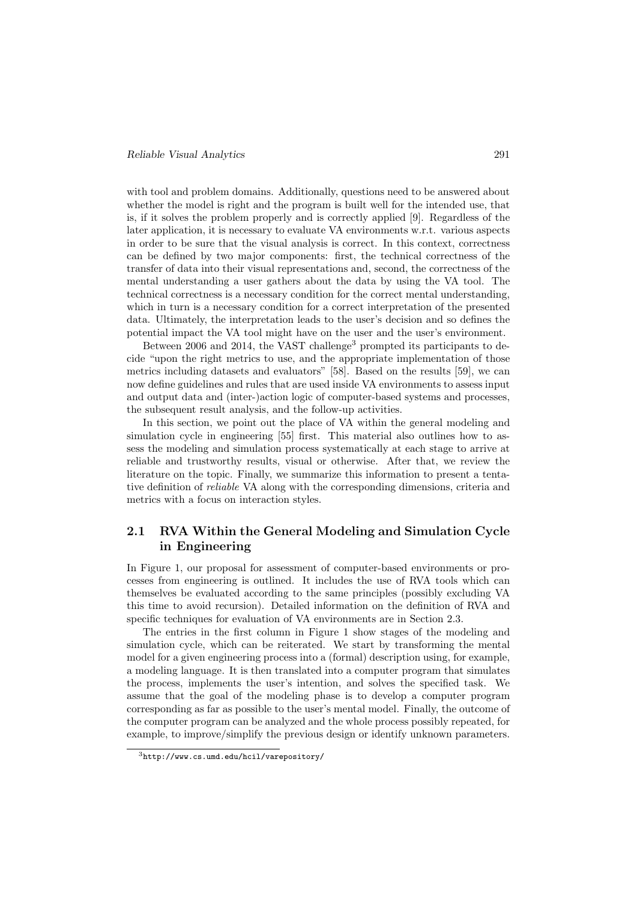with tool and problem domains. Additionally, questions need to be answered about whether the model is right and the program is built well for the intended use, that is, if it solves the problem properly and is correctly applied [9]. Regardless of the later application, it is necessary to evaluate VA environments w.r.t. various aspects in order to be sure that the visual analysis is correct. In this context, correctness can be defined by two major components: first, the technical correctness of the transfer of data into their visual representations and, second, the correctness of the mental understanding a user gathers about the data by using the VA tool. The technical correctness is a necessary condition for the correct mental understanding, which in turn is a necessary condition for a correct interpretation of the presented data. Ultimately, the interpretation leads to the user's decision and so defines the potential impact the VA tool might have on the user and the user's environment.

Between 2006 and 2014, the VAST challenge<sup>3</sup> prompted its participants to decide "upon the right metrics to use, and the appropriate implementation of those metrics including datasets and evaluators" [58]. Based on the results [59], we can now define guidelines and rules that are used inside VA environments to assess input and output data and (inter-)action logic of computer-based systems and processes, the subsequent result analysis, and the follow-up activities.

In this section, we point out the place of VA within the general modeling and simulation cycle in engineering [55] first. This material also outlines how to assess the modeling and simulation process systematically at each stage to arrive at reliable and trustworthy results, visual or otherwise. After that, we review the literature on the topic. Finally, we summarize this information to present a tentative definition of reliable VA along with the corresponding dimensions, criteria and metrics with a focus on interaction styles.

### 2.1 RVA Within the General Modeling and Simulation Cycle in Engineering

In Figure 1, our proposal for assessment of computer-based environments or processes from engineering is outlined. It includes the use of RVA tools which can themselves be evaluated according to the same principles (possibly excluding VA this time to avoid recursion). Detailed information on the definition of RVA and specific techniques for evaluation of VA environments are in Section 2.3.

The entries in the first column in Figure 1 show stages of the modeling and simulation cycle, which can be reiterated. We start by transforming the mental model for a given engineering process into a (formal) description using, for example, a modeling language. It is then translated into a computer program that simulates the process, implements the user's intention, and solves the specified task. We assume that the goal of the modeling phase is to develop a computer program corresponding as far as possible to the user's mental model. Finally, the outcome of the computer program can be analyzed and the whole process possibly repeated, for example, to improve/simplify the previous design or identify unknown parameters.

<sup>3</sup>http://www.cs.umd.edu/hcil/varepository/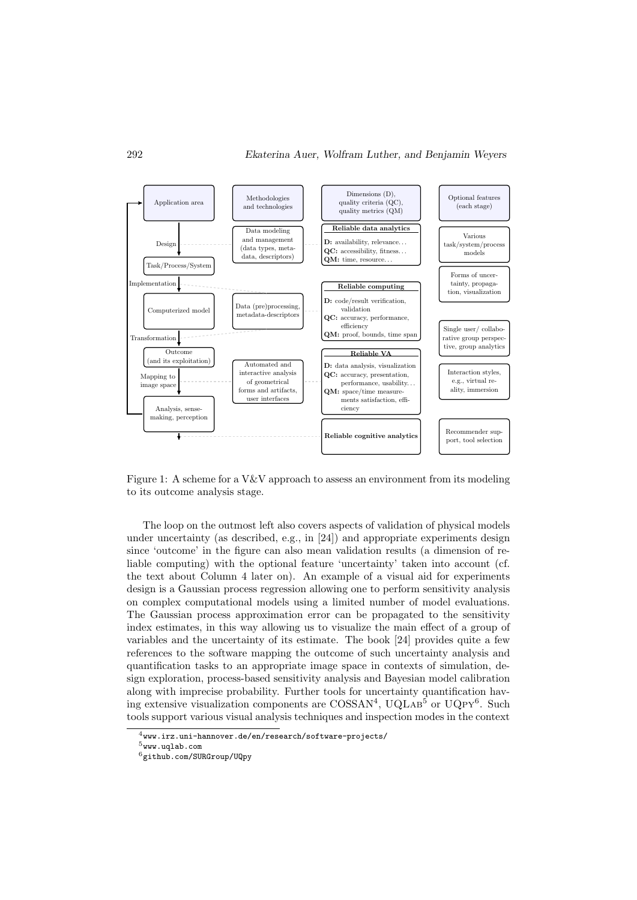

Figure 1: A scheme for a V&V approach to assess an environment from its modeling to its outcome analysis stage.

The loop on the outmost left also covers aspects of validation of physical models under uncertainty (as described, e.g., in [24]) and appropriate experiments design since 'outcome' in the figure can also mean validation results (a dimension of reliable computing) with the optional feature 'uncertainty' taken into account (cf. the text about Column 4 later on). An example of a visual aid for experiments design is a Gaussian process regression allowing one to perform sensitivity analysis on complex computational models using a limited number of model evaluations. The Gaussian process approximation error can be propagated to the sensitivity index estimates, in this way allowing us to visualize the main effect of a group of variables and the uncertainty of its estimate. The book [24] provides quite a few references to the software mapping the outcome of such uncertainty analysis and quantification tasks to an appropriate image space in contexts of simulation, design exploration, process-based sensitivity analysis and Bayesian model calibration along with imprecise probability. Further tools for uncertainty quantification having extensive visualization components are COSSAN<sup>4</sup>, UQLAB<sup>5</sup> or UQPY<sup>6</sup>. Such tools support various visual analysis techniques and inspection modes in the context

 $4$ www.irz.uni-hannover.de/en/research/software-projects/

 $5$ www.uqlab.com

<sup>6</sup>github.com/SURGroup/UQpy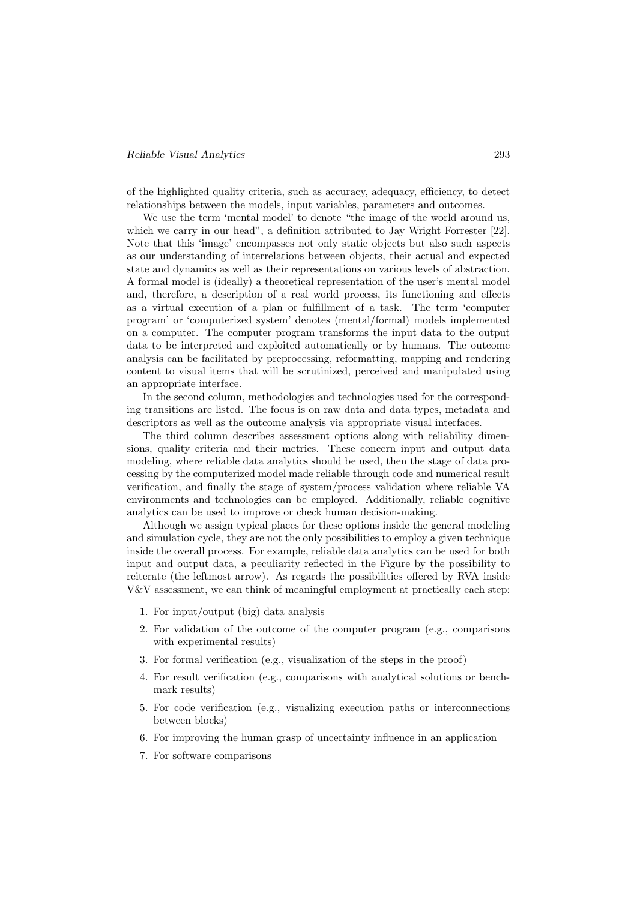#### Reliable Visual Analytics 293

of the highlighted quality criteria, such as accuracy, adequacy, efficiency, to detect relationships between the models, input variables, parameters and outcomes.

We use the term 'mental model' to denote "the image of the world around us, which we carry in our head", a definition attributed to Jay Wright Forrester [22]. Note that this 'image' encompasses not only static objects but also such aspects as our understanding of interrelations between objects, their actual and expected state and dynamics as well as their representations on various levels of abstraction. A formal model is (ideally) a theoretical representation of the user's mental model and, therefore, a description of a real world process, its functioning and effects as a virtual execution of a plan or fulfillment of a task. The term 'computer program' or 'computerized system' denotes (mental/formal) models implemented on a computer. The computer program transforms the input data to the output data to be interpreted and exploited automatically or by humans. The outcome analysis can be facilitated by preprocessing, reformatting, mapping and rendering content to visual items that will be scrutinized, perceived and manipulated using an appropriate interface.

In the second column, methodologies and technologies used for the corresponding transitions are listed. The focus is on raw data and data types, metadata and descriptors as well as the outcome analysis via appropriate visual interfaces.

The third column describes assessment options along with reliability dimensions, quality criteria and their metrics. These concern input and output data modeling, where reliable data analytics should be used, then the stage of data processing by the computerized model made reliable through code and numerical result verification, and finally the stage of system/process validation where reliable VA environments and technologies can be employed. Additionally, reliable cognitive analytics can be used to improve or check human decision-making.

Although we assign typical places for these options inside the general modeling and simulation cycle, they are not the only possibilities to employ a given technique inside the overall process. For example, reliable data analytics can be used for both input and output data, a peculiarity reflected in the Figure by the possibility to reiterate (the leftmost arrow). As regards the possibilities offered by RVA inside V&V assessment, we can think of meaningful employment at practically each step:

- 1. For input/output (big) data analysis
- 2. For validation of the outcome of the computer program (e.g., comparisons with experimental results)
- 3. For formal verification (e.g., visualization of the steps in the proof)
- 4. For result verification (e.g., comparisons with analytical solutions or benchmark results)
- 5. For code verification (e.g., visualizing execution paths or interconnections between blocks)
- 6. For improving the human grasp of uncertainty influence in an application
- 7. For software comparisons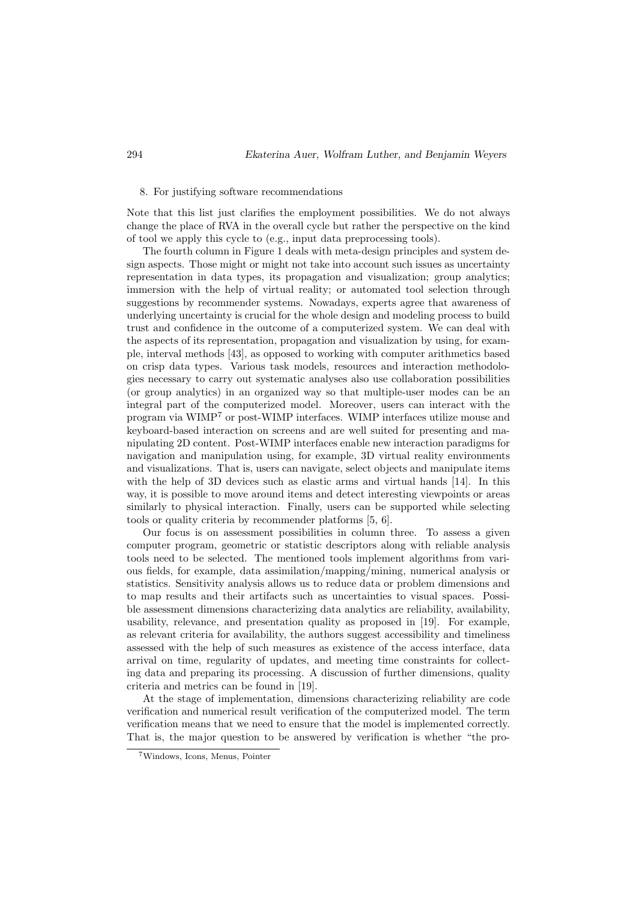#### 8. For justifying software recommendations

Note that this list just clarifies the employment possibilities. We do not always change the place of RVA in the overall cycle but rather the perspective on the kind of tool we apply this cycle to (e.g., input data preprocessing tools).

The fourth column in Figure 1 deals with meta-design principles and system design aspects. Those might or might not take into account such issues as uncertainty representation in data types, its propagation and visualization; group analytics; immersion with the help of virtual reality; or automated tool selection through suggestions by recommender systems. Nowadays, experts agree that awareness of underlying uncertainty is crucial for the whole design and modeling process to build trust and confidence in the outcome of a computerized system. We can deal with the aspects of its representation, propagation and visualization by using, for example, interval methods [43], as opposed to working with computer arithmetics based on crisp data types. Various task models, resources and interaction methodologies necessary to carry out systematic analyses also use collaboration possibilities (or group analytics) in an organized way so that multiple-user modes can be an integral part of the computerized model. Moreover, users can interact with the program via WIMP<sup>7</sup> or post-WIMP interfaces. WIMP interfaces utilize mouse and keyboard-based interaction on screens and are well suited for presenting and manipulating 2D content. Post-WIMP interfaces enable new interaction paradigms for navigation and manipulation using, for example, 3D virtual reality environments and visualizations. That is, users can navigate, select objects and manipulate items with the help of 3D devices such as elastic arms and virtual hands [14]. In this way, it is possible to move around items and detect interesting viewpoints or areas similarly to physical interaction. Finally, users can be supported while selecting tools or quality criteria by recommender platforms [5, 6].

Our focus is on assessment possibilities in column three. To assess a given computer program, geometric or statistic descriptors along with reliable analysis tools need to be selected. The mentioned tools implement algorithms from various fields, for example, data assimilation/mapping/mining, numerical analysis or statistics. Sensitivity analysis allows us to reduce data or problem dimensions and to map results and their artifacts such as uncertainties to visual spaces. Possible assessment dimensions characterizing data analytics are reliability, availability, usability, relevance, and presentation quality as proposed in [19]. For example, as relevant criteria for availability, the authors suggest accessibility and timeliness assessed with the help of such measures as existence of the access interface, data arrival on time, regularity of updates, and meeting time constraints for collecting data and preparing its processing. A discussion of further dimensions, quality criteria and metrics can be found in [19].

At the stage of implementation, dimensions characterizing reliability are code verification and numerical result verification of the computerized model. The term verification means that we need to ensure that the model is implemented correctly. That is, the major question to be answered by verification is whether "the pro-

<sup>7</sup>Windows, Icons, Menus, Pointer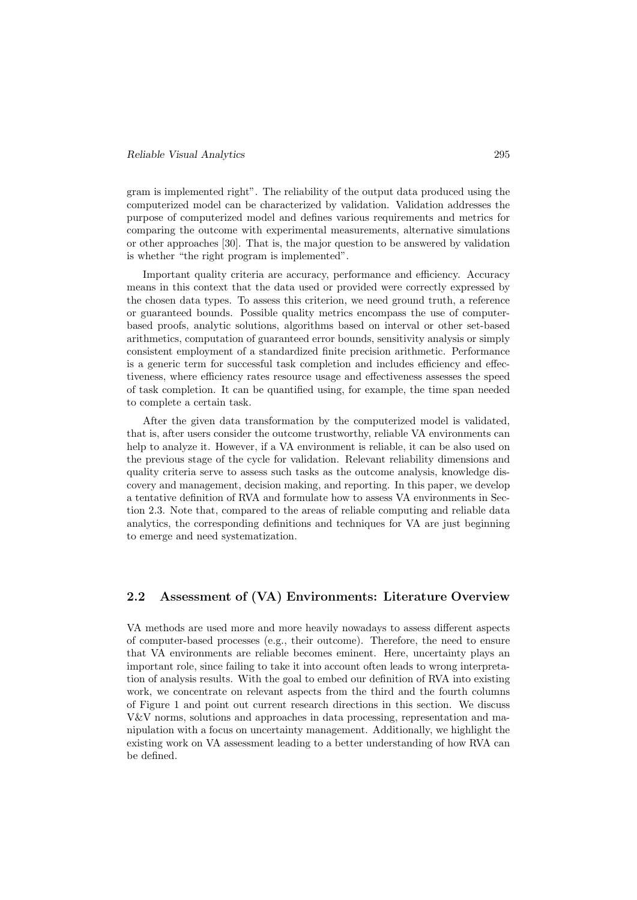gram is implemented right". The reliability of the output data produced using the computerized model can be characterized by validation. Validation addresses the purpose of computerized model and defines various requirements and metrics for comparing the outcome with experimental measurements, alternative simulations or other approaches [30]. That is, the major question to be answered by validation is whether "the right program is implemented".

Important quality criteria are accuracy, performance and efficiency. Accuracy means in this context that the data used or provided were correctly expressed by the chosen data types. To assess this criterion, we need ground truth, a reference or guaranteed bounds. Possible quality metrics encompass the use of computerbased proofs, analytic solutions, algorithms based on interval or other set-based arithmetics, computation of guaranteed error bounds, sensitivity analysis or simply consistent employment of a standardized finite precision arithmetic. Performance is a generic term for successful task completion and includes efficiency and effectiveness, where efficiency rates resource usage and effectiveness assesses the speed of task completion. It can be quantified using, for example, the time span needed to complete a certain task.

After the given data transformation by the computerized model is validated, that is, after users consider the outcome trustworthy, reliable VA environments can help to analyze it. However, if a VA environment is reliable, it can be also used on the previous stage of the cycle for validation. Relevant reliability dimensions and quality criteria serve to assess such tasks as the outcome analysis, knowledge discovery and management, decision making, and reporting. In this paper, we develop a tentative definition of RVA and formulate how to assess VA environments in Section 2.3. Note that, compared to the areas of reliable computing and reliable data analytics, the corresponding definitions and techniques for VA are just beginning to emerge and need systematization.

#### 2.2 Assessment of (VA) Environments: Literature Overview

VA methods are used more and more heavily nowadays to assess different aspects of computer-based processes (e.g., their outcome). Therefore, the need to ensure that VA environments are reliable becomes eminent. Here, uncertainty plays an important role, since failing to take it into account often leads to wrong interpretation of analysis results. With the goal to embed our definition of RVA into existing work, we concentrate on relevant aspects from the third and the fourth columns of Figure 1 and point out current research directions in this section. We discuss V&V norms, solutions and approaches in data processing, representation and manipulation with a focus on uncertainty management. Additionally, we highlight the existing work on VA assessment leading to a better understanding of how RVA can be defined.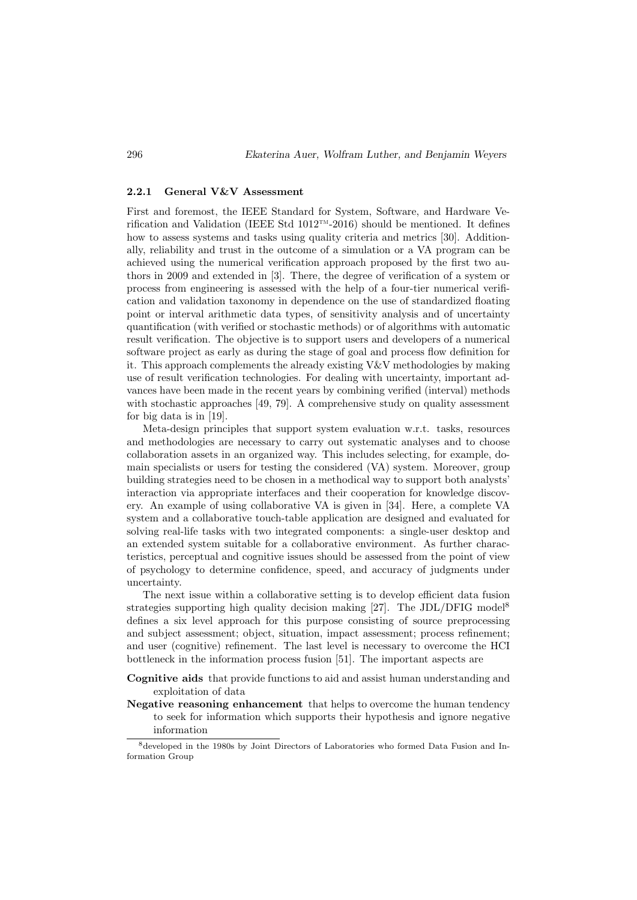#### 2.2.1 General V&V Assessment

First and foremost, the IEEE Standard for System, Software, and Hardware Verification and Validation (IEEE Std  $1012<sup>TM</sup>$ -2016) should be mentioned. It defines how to assess systems and tasks using quality criteria and metrics [30]. Additionally, reliability and trust in the outcome of a simulation or a VA program can be achieved using the numerical verification approach proposed by the first two authors in 2009 and extended in [3]. There, the degree of verification of a system or process from engineering is assessed with the help of a four-tier numerical verification and validation taxonomy in dependence on the use of standardized floating point or interval arithmetic data types, of sensitivity analysis and of uncertainty quantification (with verified or stochastic methods) or of algorithms with automatic result verification. The objective is to support users and developers of a numerical software project as early as during the stage of goal and process flow definition for it. This approach complements the already existing V&V methodologies by making use of result verification technologies. For dealing with uncertainty, important advances have been made in the recent years by combining verified (interval) methods with stochastic approaches [49, 79]. A comprehensive study on quality assessment for big data is in [19].

Meta-design principles that support system evaluation w.r.t. tasks, resources and methodologies are necessary to carry out systematic analyses and to choose collaboration assets in an organized way. This includes selecting, for example, domain specialists or users for testing the considered (VA) system. Moreover, group building strategies need to be chosen in a methodical way to support both analysts' interaction via appropriate interfaces and their cooperation for knowledge discovery. An example of using collaborative VA is given in [34]. Here, a complete VA system and a collaborative touch-table application are designed and evaluated for solving real-life tasks with two integrated components: a single-user desktop and an extended system suitable for a collaborative environment. As further characteristics, perceptual and cognitive issues should be assessed from the point of view of psychology to determine confidence, speed, and accuracy of judgments under uncertainty.

The next issue within a collaborative setting is to develop efficient data fusion strategies supporting high quality decision making  $[27]$ . The JDL/DFIG model<sup>8</sup> defines a six level approach for this purpose consisting of source preprocessing and subject assessment; object, situation, impact assessment; process refinement; and user (cognitive) refinement. The last level is necessary to overcome the HCI bottleneck in the information process fusion [51]. The important aspects are

- Cognitive aids that provide functions to aid and assist human understanding and exploitation of data
- Negative reasoning enhancement that helps to overcome the human tendency to seek for information which supports their hypothesis and ignore negative information

<sup>8</sup>developed in the 1980s by Joint Directors of Laboratories who formed Data Fusion and Information Group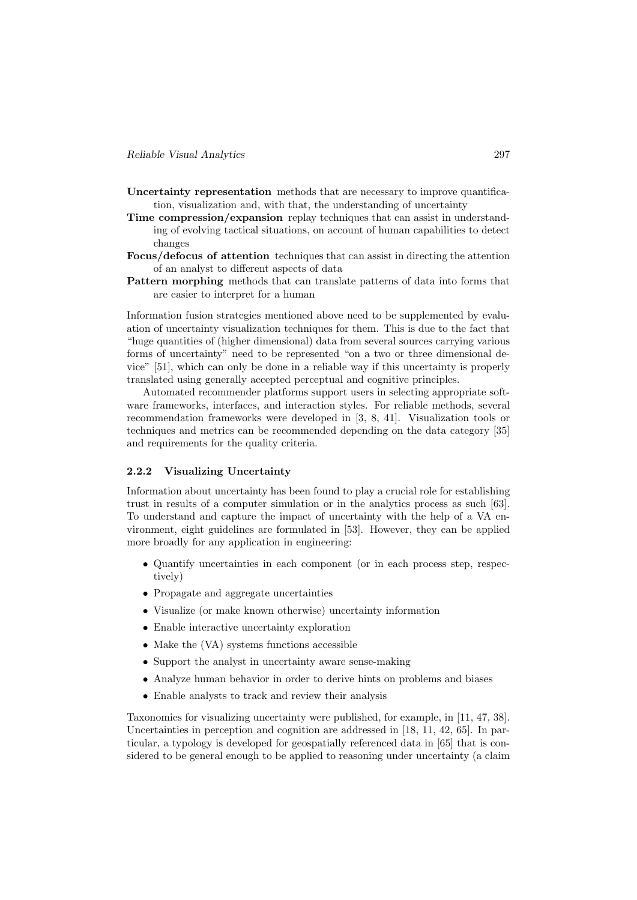- Uncertainty representation methods that are necessary to improve quantification, visualization and, with that, the understanding of uncertainty
- Time compression/expansion replay techniques that can assist in understanding of evolving tactical situations, on account of human capabilities to detect changes
- Focus/defocus of attention techniques that can assist in directing the attention of an analyst to different aspects of data
- Pattern morphing methods that can translate patterns of data into forms that are easier to interpret for a human

Information fusion strategies mentioned above need to be supplemented by evaluation of uncertainty visualization techniques for them. This is due to the fact that "huge quantities of (higher dimensional) data from several sources carrying various forms of uncertainty" need to be represented "on a two or three dimensional device" [51], which can only be done in a reliable way if this uncertainty is properly translated using generally accepted perceptual and cognitive principles.

Automated recommender platforms support users in selecting appropriate software frameworks, interfaces, and interaction styles. For reliable methods, several recommendation frameworks were developed in [3, 8, 41]. Visualization tools or techniques and metrics can be recommended depending on the data category [35] and requirements for the quality criteria.

#### 2.2.2 Visualizing Uncertainty

Information about uncertainty has been found to play a crucial role for establishing trust in results of a computer simulation or in the analytics process as such [63]. To understand and capture the impact of uncertainty with the help of a VA environment, eight guidelines are formulated in [53]. However, they can be applied more broadly for any application in engineering:

- Quantify uncertainties in each component (or in each process step, respectively)
- Propagate and aggregate uncertainties
- Visualize (or make known otherwise) uncertainty information
- Enable interactive uncertainty exploration
- Make the (VA) systems functions accessible
- Support the analyst in uncertainty aware sense-making
- Analyze human behavior in order to derive hints on problems and biases
- Enable analysts to track and review their analysis

Taxonomies for visualizing uncertainty were published, for example, in [11, 47, 38]. Uncertainties in perception and cognition are addressed in [18, 11, 42, 65]. In particular, a typology is developed for geospatially referenced data in [65] that is considered to be general enough to be applied to reasoning under uncertainty (a claim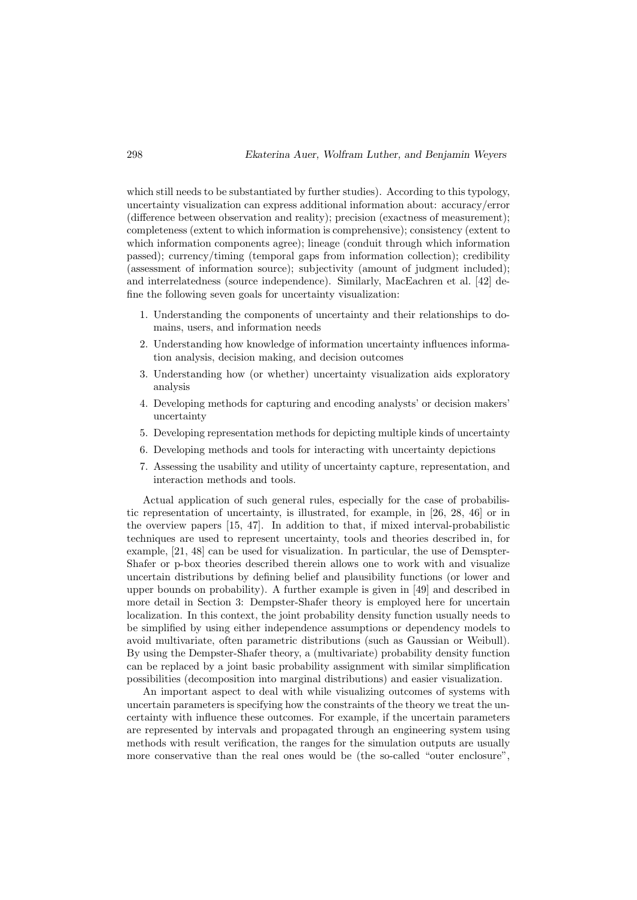which still needs to be substantiated by further studies). According to this typology, uncertainty visualization can express additional information about: accuracy/error (difference between observation and reality); precision (exactness of measurement); completeness (extent to which information is comprehensive); consistency (extent to which information components agree); lineage (conduit through which information passed); currency/timing (temporal gaps from information collection); credibility (assessment of information source); subjectivity (amount of judgment included); and interrelatedness (source independence). Similarly, MacEachren et al. [42] define the following seven goals for uncertainty visualization:

- 1. Understanding the components of uncertainty and their relationships to domains, users, and information needs
- 2. Understanding how knowledge of information uncertainty influences information analysis, decision making, and decision outcomes
- 3. Understanding how (or whether) uncertainty visualization aids exploratory analysis
- 4. Developing methods for capturing and encoding analysts' or decision makers' uncertainty
- 5. Developing representation methods for depicting multiple kinds of uncertainty
- 6. Developing methods and tools for interacting with uncertainty depictions
- 7. Assessing the usability and utility of uncertainty capture, representation, and interaction methods and tools.

Actual application of such general rules, especially for the case of probabilistic representation of uncertainty, is illustrated, for example, in [26, 28, 46] or in the overview papers [15, 47]. In addition to that, if mixed interval-probabilistic techniques are used to represent uncertainty, tools and theories described in, for example, [21, 48] can be used for visualization. In particular, the use of Demspter-Shafer or p-box theories described therein allows one to work with and visualize uncertain distributions by defining belief and plausibility functions (or lower and upper bounds on probability). A further example is given in [49] and described in more detail in Section 3: Dempster-Shafer theory is employed here for uncertain localization. In this context, the joint probability density function usually needs to be simplified by using either independence assumptions or dependency models to avoid multivariate, often parametric distributions (such as Gaussian or Weibull). By using the Dempster-Shafer theory, a (multivariate) probability density function can be replaced by a joint basic probability assignment with similar simplification possibilities (decomposition into marginal distributions) and easier visualization.

An important aspect to deal with while visualizing outcomes of systems with uncertain parameters is specifying how the constraints of the theory we treat the uncertainty with influence these outcomes. For example, if the uncertain parameters are represented by intervals and propagated through an engineering system using methods with result verification, the ranges for the simulation outputs are usually more conservative than the real ones would be (the so-called "outer enclosure",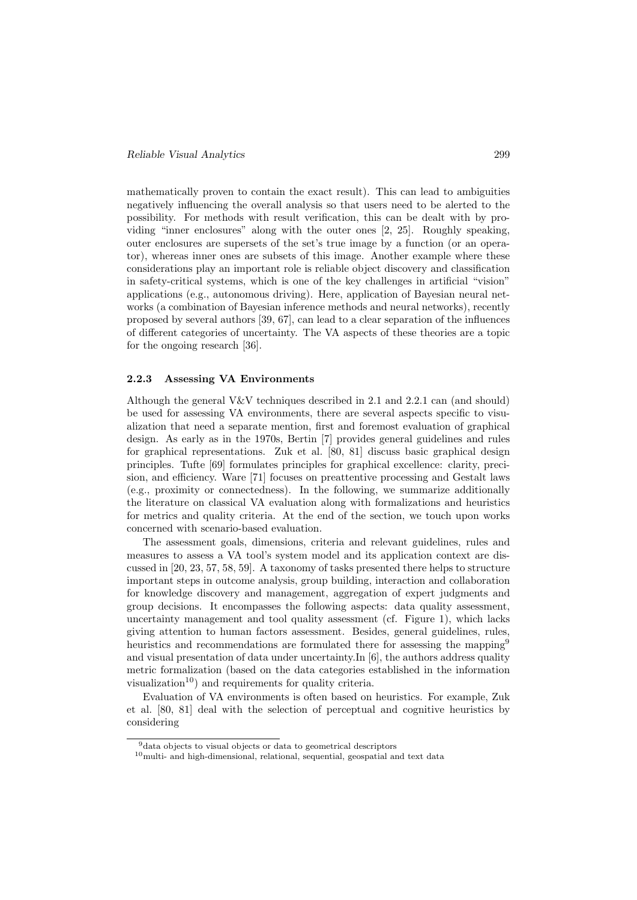mathematically proven to contain the exact result). This can lead to ambiguities negatively influencing the overall analysis so that users need to be alerted to the possibility. For methods with result verification, this can be dealt with by providing "inner enclosures" along with the outer ones [2, 25]. Roughly speaking, outer enclosures are supersets of the set's true image by a function (or an operator), whereas inner ones are subsets of this image. Another example where these considerations play an important role is reliable object discovery and classification in safety-critical systems, which is one of the key challenges in artificial "vision" applications (e.g., autonomous driving). Here, application of Bayesian neural networks (a combination of Bayesian inference methods and neural networks), recently proposed by several authors [39, 67], can lead to a clear separation of the influences of different categories of uncertainty. The VA aspects of these theories are a topic for the ongoing research [36].

#### 2.2.3 Assessing VA Environments

Although the general  $V&V$  techniques described in 2.1 and 2.2.1 can (and should) be used for assessing VA environments, there are several aspects specific to visualization that need a separate mention, first and foremost evaluation of graphical design. As early as in the 1970s, Bertin [7] provides general guidelines and rules for graphical representations. Zuk et al. [80, 81] discuss basic graphical design principles. Tufte [69] formulates principles for graphical excellence: clarity, precision, and efficiency. Ware [71] focuses on preattentive processing and Gestalt laws (e.g., proximity or connectedness). In the following, we summarize additionally the literature on classical VA evaluation along with formalizations and heuristics for metrics and quality criteria. At the end of the section, we touch upon works concerned with scenario-based evaluation.

The assessment goals, dimensions, criteria and relevant guidelines, rules and measures to assess a VA tool's system model and its application context are discussed in [20, 23, 57, 58, 59]. A taxonomy of tasks presented there helps to structure important steps in outcome analysis, group building, interaction and collaboration for knowledge discovery and management, aggregation of expert judgments and group decisions. It encompasses the following aspects: data quality assessment, uncertainty management and tool quality assessment (cf. Figure 1), which lacks giving attention to human factors assessment. Besides, general guidelines, rules, heuristics and recommendations are formulated there for assessing the mapping<sup>9</sup> and visual presentation of data under uncertainty.In [6], the authors address quality metric formalization (based on the data categories established in the information visualization<sup>10</sup>) and requirements for quality criteria.

Evaluation of VA environments is often based on heuristics. For example, Zuk et al. [80, 81] deal with the selection of perceptual and cognitive heuristics by considering

<sup>9</sup>data objects to visual objects or data to geometrical descriptors

 $10$ multi- and high-dimensional, relational, sequential, geospatial and text data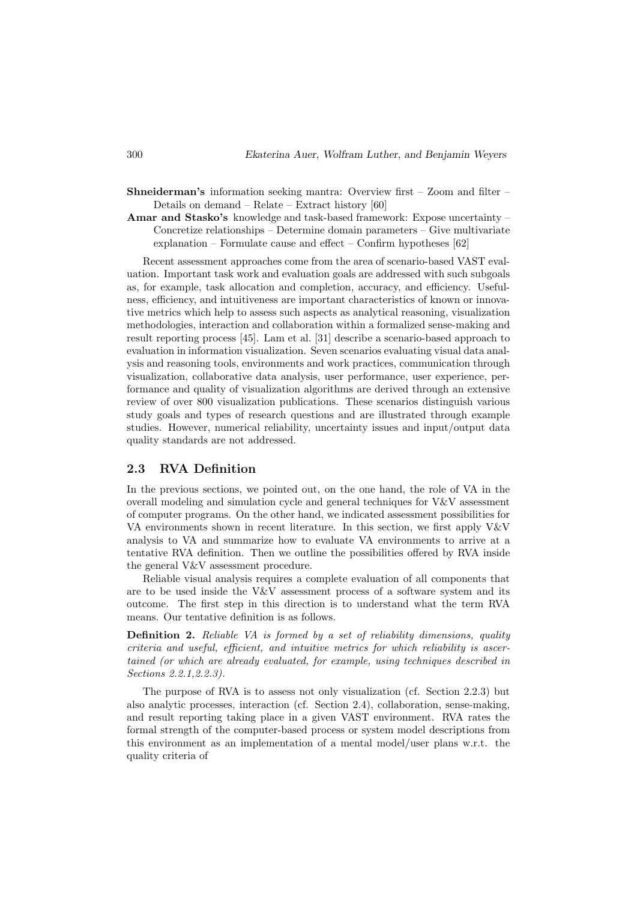- Shneiderman's information seeking mantra: Overview first Zoom and filter Details on demand – Relate – Extract history [60]
- Amar and Stasko's knowledge and task-based framework: Expose uncertainty Concretize relationships – Determine domain parameters – Give multivariate explanation – Formulate cause and effect – Confirm hypotheses [62]

Recent assessment approaches come from the area of scenario-based VAST evaluation. Important task work and evaluation goals are addressed with such subgoals as, for example, task allocation and completion, accuracy, and efficiency. Usefulness, efficiency, and intuitiveness are important characteristics of known or innovative metrics which help to assess such aspects as analytical reasoning, visualization methodologies, interaction and collaboration within a formalized sense-making and result reporting process [45]. Lam et al. [31] describe a scenario-based approach to evaluation in information visualization. Seven scenarios evaluating visual data analysis and reasoning tools, environments and work practices, communication through visualization, collaborative data analysis, user performance, user experience, performance and quality of visualization algorithms are derived through an extensive review of over 800 visualization publications. These scenarios distinguish various study goals and types of research questions and are illustrated through example studies. However, numerical reliability, uncertainty issues and input/output data quality standards are not addressed.

#### 2.3 RVA Definition

In the previous sections, we pointed out, on the one hand, the role of VA in the overall modeling and simulation cycle and general techniques for V&V assessment of computer programs. On the other hand, we indicated assessment possibilities for VA environments shown in recent literature. In this section, we first apply V&V analysis to VA and summarize how to evaluate VA environments to arrive at a tentative RVA definition. Then we outline the possibilities offered by RVA inside the general V&V assessment procedure.

Reliable visual analysis requires a complete evaluation of all components that are to be used inside the  $V&V$  assessment process of a software system and its outcome. The first step in this direction is to understand what the term RVA means. Our tentative definition is as follows.

**Definition 2.** Reliable VA is formed by a set of reliability dimensions, quality criteria and useful, efficient, and intuitive metrics for which reliability is ascertained (or which are already evaluated, for example, using techniques described in Sections 2.2.1,2.2.3).

The purpose of RVA is to assess not only visualization (cf. Section 2.2.3) but also analytic processes, interaction (cf. Section 2.4), collaboration, sense-making, and result reporting taking place in a given VAST environment. RVA rates the formal strength of the computer-based process or system model descriptions from this environment as an implementation of a mental model/user plans w.r.t. the quality criteria of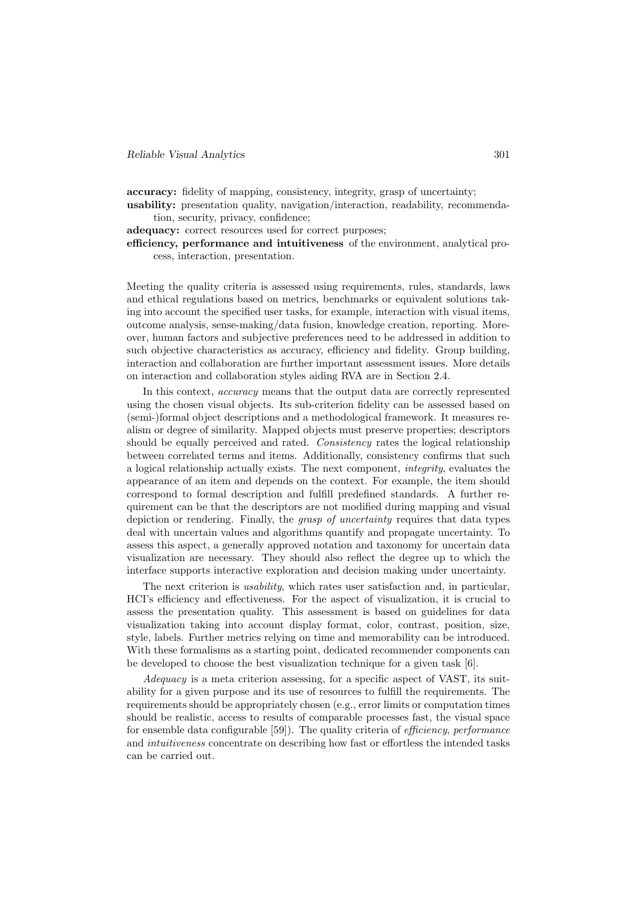accuracy: fidelity of mapping, consistency, integrity, grasp of uncertainty;

usability: presentation quality, navigation/interaction, readability, recommendation, security, privacy, confidence;

adequacy: correct resources used for correct purposes;

efficiency, performance and intuitiveness of the environment, analytical process, interaction, presentation.

Meeting the quality criteria is assessed using requirements, rules, standards, laws and ethical regulations based on metrics, benchmarks or equivalent solutions taking into account the specified user tasks, for example, interaction with visual items, outcome analysis, sense-making/data fusion, knowledge creation, reporting. Moreover, human factors and subjective preferences need to be addressed in addition to such objective characteristics as accuracy, efficiency and fidelity. Group building, interaction and collaboration are further important assessment issues. More details on interaction and collaboration styles aiding RVA are in Section 2.4.

In this context, accuracy means that the output data are correctly represented using the chosen visual objects. Its sub-criterion fidelity can be assessed based on (semi-)formal object descriptions and a methodological framework. It measures realism or degree of similarity. Mapped objects must preserve properties; descriptors should be equally perceived and rated. Consistency rates the logical relationship between correlated terms and items. Additionally, consistency confirms that such a logical relationship actually exists. The next component, integrity, evaluates the appearance of an item and depends on the context. For example, the item should correspond to formal description and fulfill predefined standards. A further requirement can be that the descriptors are not modified during mapping and visual depiction or rendering. Finally, the *grasp of uncertainty* requires that data types deal with uncertain values and algorithms quantify and propagate uncertainty. To assess this aspect, a generally approved notation and taxonomy for uncertain data visualization are necessary. They should also reflect the degree up to which the interface supports interactive exploration and decision making under uncertainty.

The next criterion is *usability*, which rates user satisfaction and, in particular, HCI's efficiency and effectiveness. For the aspect of visualization, it is crucial to assess the presentation quality. This assessment is based on guidelines for data visualization taking into account display format, color, contrast, position, size, style, labels. Further metrics relying on time and memorability can be introduced. With these formalisms as a starting point, dedicated recommender components can be developed to choose the best visualization technique for a given task [6].

Adequacy is a meta criterion assessing, for a specific aspect of VAST, its suitability for a given purpose and its use of resources to fulfill the requirements. The requirements should be appropriately chosen (e.g., error limits or computation times should be realistic, access to results of comparable processes fast, the visual space for ensemble data configurable [59]). The quality criteria of efficiency, performance and intuitiveness concentrate on describing how fast or effortless the intended tasks can be carried out.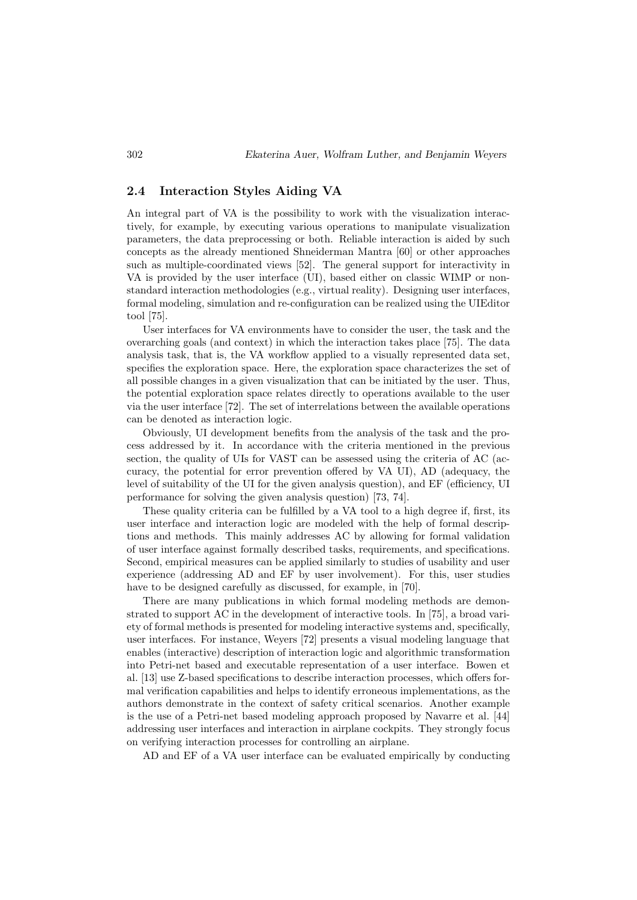#### 2.4 Interaction Styles Aiding VA

An integral part of VA is the possibility to work with the visualization interactively, for example, by executing various operations to manipulate visualization parameters, the data preprocessing or both. Reliable interaction is aided by such concepts as the already mentioned Shneiderman Mantra [60] or other approaches such as multiple-coordinated views [52]. The general support for interactivity in VA is provided by the user interface (UI), based either on classic WIMP or nonstandard interaction methodologies (e.g., virtual reality). Designing user interfaces, formal modeling, simulation and re-configuration can be realized using the UIEditor tool [75].

User interfaces for VA environments have to consider the user, the task and the overarching goals (and context) in which the interaction takes place [75]. The data analysis task, that is, the VA workflow applied to a visually represented data set, specifies the exploration space. Here, the exploration space characterizes the set of all possible changes in a given visualization that can be initiated by the user. Thus, the potential exploration space relates directly to operations available to the user via the user interface [72]. The set of interrelations between the available operations can be denoted as interaction logic.

Obviously, UI development benefits from the analysis of the task and the process addressed by it. In accordance with the criteria mentioned in the previous section, the quality of UIs for VAST can be assessed using the criteria of AC (accuracy, the potential for error prevention offered by VA UI), AD (adequacy, the level of suitability of the UI for the given analysis question), and EF (efficiency, UI performance for solving the given analysis question) [73, 74].

These quality criteria can be fulfilled by a VA tool to a high degree if, first, its user interface and interaction logic are modeled with the help of formal descriptions and methods. This mainly addresses AC by allowing for formal validation of user interface against formally described tasks, requirements, and specifications. Second, empirical measures can be applied similarly to studies of usability and user experience (addressing AD and EF by user involvement). For this, user studies have to be designed carefully as discussed, for example, in [70].

There are many publications in which formal modeling methods are demonstrated to support AC in the development of interactive tools. In [75], a broad variety of formal methods is presented for modeling interactive systems and, specifically, user interfaces. For instance, Weyers [72] presents a visual modeling language that enables (interactive) description of interaction logic and algorithmic transformation into Petri-net based and executable representation of a user interface. Bowen et al. [13] use Z-based specifications to describe interaction processes, which offers formal verification capabilities and helps to identify erroneous implementations, as the authors demonstrate in the context of safety critical scenarios. Another example is the use of a Petri-net based modeling approach proposed by Navarre et al. [44] addressing user interfaces and interaction in airplane cockpits. They strongly focus on verifying interaction processes for controlling an airplane.

AD and EF of a VA user interface can be evaluated empirically by conducting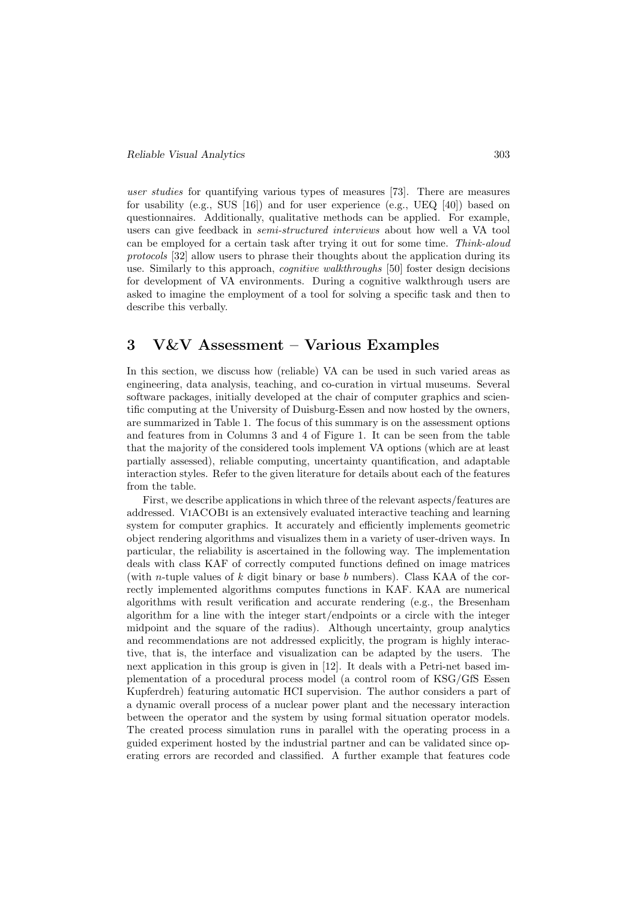user studies for quantifying various types of measures [73]. There are measures for usability (e.g., SUS [16]) and for user experience (e.g., UEQ [40]) based on questionnaires. Additionally, qualitative methods can be applied. For example, users can give feedback in *semi-structured interviews* about how well a VA tool can be employed for a certain task after trying it out for some time. Think-aloud protocols [32] allow users to phrase their thoughts about the application during its use. Similarly to this approach, *cognitive walkthroughs* [50] foster design decisions for development of VA environments. During a cognitive walkthrough users are asked to imagine the employment of a tool for solving a specific task and then to describe this verbally.

# 3 V&V Assessment – Various Examples

In this section, we discuss how (reliable) VA can be used in such varied areas as engineering, data analysis, teaching, and co-curation in virtual museums. Several software packages, initially developed at the chair of computer graphics and scientific computing at the University of Duisburg-Essen and now hosted by the owners, are summarized in Table 1. The focus of this summary is on the assessment options and features from in Columns 3 and 4 of Figure 1. It can be seen from the table that the majority of the considered tools implement VA options (which are at least partially assessed), reliable computing, uncertainty quantification, and adaptable interaction styles. Refer to the given literature for details about each of the features from the table.

First, we describe applications in which three of the relevant aspects/features are addressed. ViACOBi is an extensively evaluated interactive teaching and learning system for computer graphics. It accurately and efficiently implements geometric object rendering algorithms and visualizes them in a variety of user-driven ways. In particular, the reliability is ascertained in the following way. The implementation deals with class KAF of correctly computed functions defined on image matrices (with *n*-tuple values of  $k$  digit binary or base  $b$  numbers). Class KAA of the correctly implemented algorithms computes functions in KAF. KAA are numerical algorithms with result verification and accurate rendering (e.g., the Bresenham algorithm for a line with the integer start/endpoints or a circle with the integer midpoint and the square of the radius). Although uncertainty, group analytics and recommendations are not addressed explicitly, the program is highly interactive, that is, the interface and visualization can be adapted by the users. The next application in this group is given in [12]. It deals with a Petri-net based implementation of a procedural process model (a control room of KSG/GfS Essen Kupferdreh) featuring automatic HCI supervision. The author considers a part of a dynamic overall process of a nuclear power plant and the necessary interaction between the operator and the system by using formal situation operator models. The created process simulation runs in parallel with the operating process in a guided experiment hosted by the industrial partner and can be validated since operating errors are recorded and classified. A further example that features code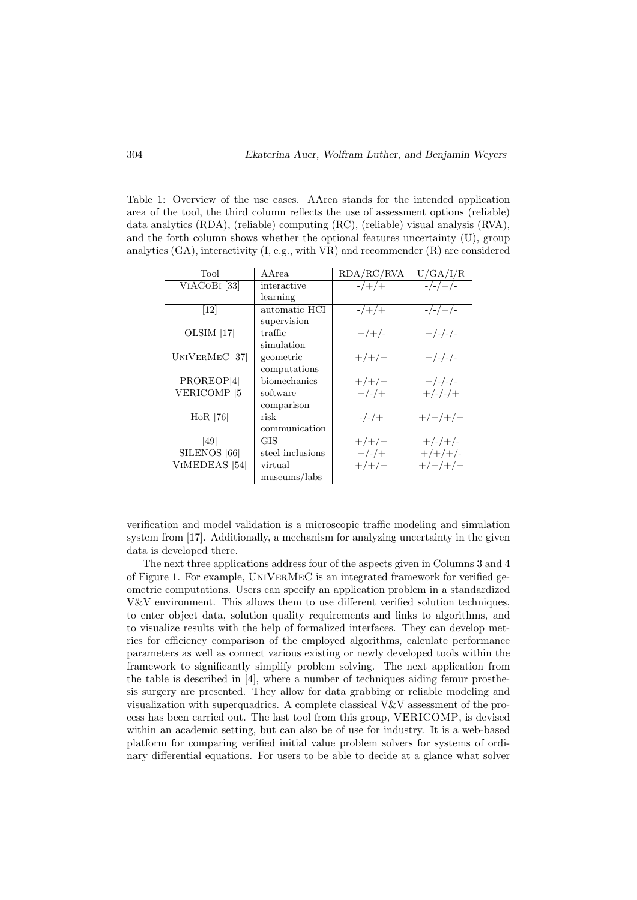Table 1: Overview of the use cases. AArea stands for the intended application area of the tool, the third column reflects the use of assessment options (reliable) data analytics (RDA), (reliable) computing (RC), (reliable) visual analysis (RVA), and the forth column shows whether the optional features uncertainty (U), group analytics (GA), interactivity (I, e.g., with VR) and recommender (R) are considered

| Tool                             | A Area                   | RDA/RC/RVA     | U/GA/I/R                   |
|----------------------------------|--------------------------|----------------|----------------------------|
| VIACOBI <sup>[33]</sup>          | interactive              | $-/+/+$        | $-/-/+/-$                  |
|                                  | learning                 |                |                            |
| $[12]$                           | automatic HCI            | $-/+/+$        | $-/-/+/-$                  |
|                                  | supervision              |                |                            |
| OLSIM <sup>[17]</sup>            | $\operatorname{traffic}$ | $+/+/-$        | $+/-/-/-$                  |
|                                  | simulation               |                |                            |
| UNIVERMEC <sup>[37]</sup>        | geometric                | $+/+/+$        | $+/-/-/-$                  |
|                                  | computations             |                |                            |
| PROREOP[4]                       | biomechanics             | $+/+/+$        | $+/-/-/-$                  |
| VERICOMP <sup>[5]</sup>          | software                 | $+\frac{1}{x}$ | $+\frac{1}{-}-\frac{1}{+}$ |
|                                  | comparison               |                |                            |
| HoR [76]                         | risk                     | $-/-/++$       | $+/+/+/+$                  |
|                                  | communication            |                |                            |
| [49]                             | GIS                      | $+/+/+$        | $+/-/+/$                   |
| $\overline{\text{SILENOS}}$ [66] | steel inclusions         | $+/-/+$        | $+/+/+/-$                  |
| VIMEDEAS <sup>[54]</sup>         | virtual                  | $+/+/+$        | $+/-/-/+/+$                |
|                                  | museums/labs             |                |                            |

verification and model validation is a microscopic traffic modeling and simulation system from [17]. Additionally, a mechanism for analyzing uncertainty in the given data is developed there.

The next three applications address four of the aspects given in Columns 3 and 4 of Figure 1. For example, UniVerMeC is an integrated framework for verified geometric computations. Users can specify an application problem in a standardized V&V environment. This allows them to use different verified solution techniques, to enter object data, solution quality requirements and links to algorithms, and to visualize results with the help of formalized interfaces. They can develop metrics for efficiency comparison of the employed algorithms, calculate performance parameters as well as connect various existing or newly developed tools within the framework to significantly simplify problem solving. The next application from the table is described in [4], where a number of techniques aiding femur prosthesis surgery are presented. They allow for data grabbing or reliable modeling and visualization with superquadrics. A complete classical V&V assessment of the process has been carried out. The last tool from this group, VERICOMP, is devised within an academic setting, but can also be of use for industry. It is a web-based platform for comparing verified initial value problem solvers for systems of ordinary differential equations. For users to be able to decide at a glance what solver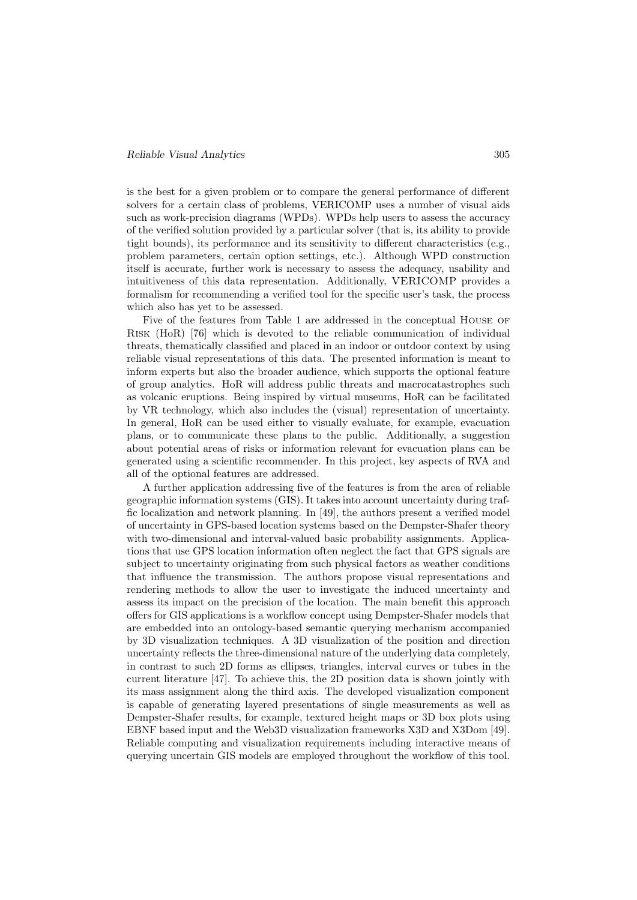#### Reliable Visual Analytics 305

is the best for a given problem or to compare the general performance of different solvers for a certain class of problems, VERICOMP uses a number of visual aids such as work-precision diagrams (WPDs). WPDs help users to assess the accuracy of the verified solution provided by a particular solver (that is, its ability to provide tight bounds), its performance and its sensitivity to different characteristics (e.g., problem parameters, certain option settings, etc.). Although WPD construction itself is accurate, further work is necessary to assess the adequacy, usability and intuitiveness of this data representation. Additionally, VERICOMP provides a formalism for recommending a verified tool for the specific user's task, the process which also has yet to be assessed.

Five of the features from Table 1 are addressed in the conceptual HOUSE OF Risk (HoR) [76] which is devoted to the reliable communication of individual threats, thematically classified and placed in an indoor or outdoor context by using reliable visual representations of this data. The presented information is meant to inform experts but also the broader audience, which supports the optional feature of group analytics. HoR will address public threats and macrocatastrophes such as volcanic eruptions. Being inspired by virtual museums, HoR can be facilitated by VR technology, which also includes the (visual) representation of uncertainty. In general, HoR can be used either to visually evaluate, for example, evacuation plans, or to communicate these plans to the public. Additionally, a suggestion about potential areas of risks or information relevant for evacuation plans can be generated using a scientific recommender. In this project, key aspects of RVA and all of the optional features are addressed.

A further application addressing five of the features is from the area of reliable geographic information systems (GIS). It takes into account uncertainty during traffic localization and network planning. In [49], the authors present a verified model of uncertainty in GPS-based location systems based on the Dempster-Shafer theory with two-dimensional and interval-valued basic probability assignments. Applications that use GPS location information often neglect the fact that GPS signals are subject to uncertainty originating from such physical factors as weather conditions that influence the transmission. The authors propose visual representations and rendering methods to allow the user to investigate the induced uncertainty and assess its impact on the precision of the location. The main benefit this approach offers for GIS applications is a workflow concept using Dempster-Shafer models that are embedded into an ontology-based semantic querying mechanism accompanied by 3D visualization techniques. A 3D visualization of the position and direction uncertainty reflects the three-dimensional nature of the underlying data completely, in contrast to such 2D forms as ellipses, triangles, interval curves or tubes in the current literature [47]. To achieve this, the 2D position data is shown jointly with its mass assignment along the third axis. The developed visualization component is capable of generating layered presentations of single measurements as well as Dempster-Shafer results, for example, textured height maps or 3D box plots using EBNF based input and the Web3D visualization frameworks X3D and X3Dom [49]. Reliable computing and visualization requirements including interactive means of querying uncertain GIS models are employed throughout the workflow of this tool.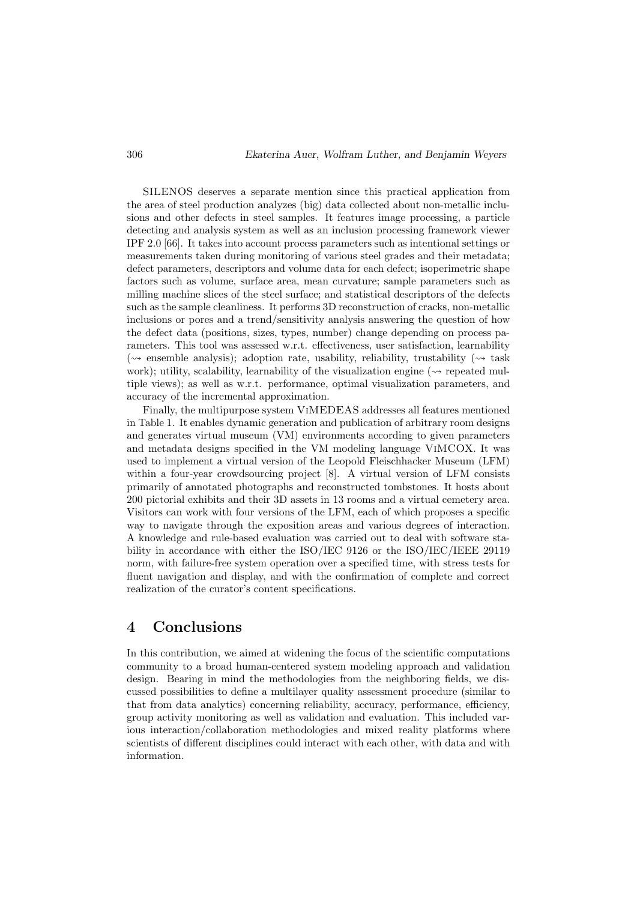SILENOS deserves a separate mention since this practical application from the area of steel production analyzes (big) data collected about non-metallic inclusions and other defects in steel samples. It features image processing, a particle detecting and analysis system as well as an inclusion processing framework viewer IPF 2.0 [66]. It takes into account process parameters such as intentional settings or measurements taken during monitoring of various steel grades and their metadata; defect parameters, descriptors and volume data for each defect; isoperimetric shape factors such as volume, surface area, mean curvature; sample parameters such as milling machine slices of the steel surface; and statistical descriptors of the defects such as the sample cleanliness. It performs 3D reconstruction of cracks, non-metallic inclusions or pores and a trend/sensitivity analysis answering the question of how the defect data (positions, sizes, types, number) change depending on process parameters. This tool was assessed w.r.t. effectiveness, user satisfaction, learnability ( $\sim$  ensemble analysis); adoption rate, usability, reliability, trustability ( $\sim$  task work); utility, scalability, learnability of the visualization engine ( $\sim$  repeated multiple views); as well as w.r.t. performance, optimal visualization parameters, and accuracy of the incremental approximation.

Finally, the multipurpose system ViMEDEAS addresses all features mentioned in Table 1. It enables dynamic generation and publication of arbitrary room designs and generates virtual museum (VM) environments according to given parameters and metadata designs specified in the VM modeling language ViMCOX. It was used to implement a virtual version of the Leopold Fleischhacker Museum (LFM) within a four-year crowdsourcing project [8]. A virtual version of LFM consists primarily of annotated photographs and reconstructed tombstones. It hosts about 200 pictorial exhibits and their 3D assets in 13 rooms and a virtual cemetery area. Visitors can work with four versions of the LFM, each of which proposes a specific way to navigate through the exposition areas and various degrees of interaction. A knowledge and rule-based evaluation was carried out to deal with software stability in accordance with either the ISO/IEC 9126 or the ISO/IEC/IEEE 29119 norm, with failure-free system operation over a specified time, with stress tests for fluent navigation and display, and with the confirmation of complete and correct realization of the curator's content specifications.

## 4 Conclusions

In this contribution, we aimed at widening the focus of the scientific computations community to a broad human-centered system modeling approach and validation design. Bearing in mind the methodologies from the neighboring fields, we discussed possibilities to define a multilayer quality assessment procedure (similar to that from data analytics) concerning reliability, accuracy, performance, efficiency, group activity monitoring as well as validation and evaluation. This included various interaction/collaboration methodologies and mixed reality platforms where scientists of different disciplines could interact with each other, with data and with information.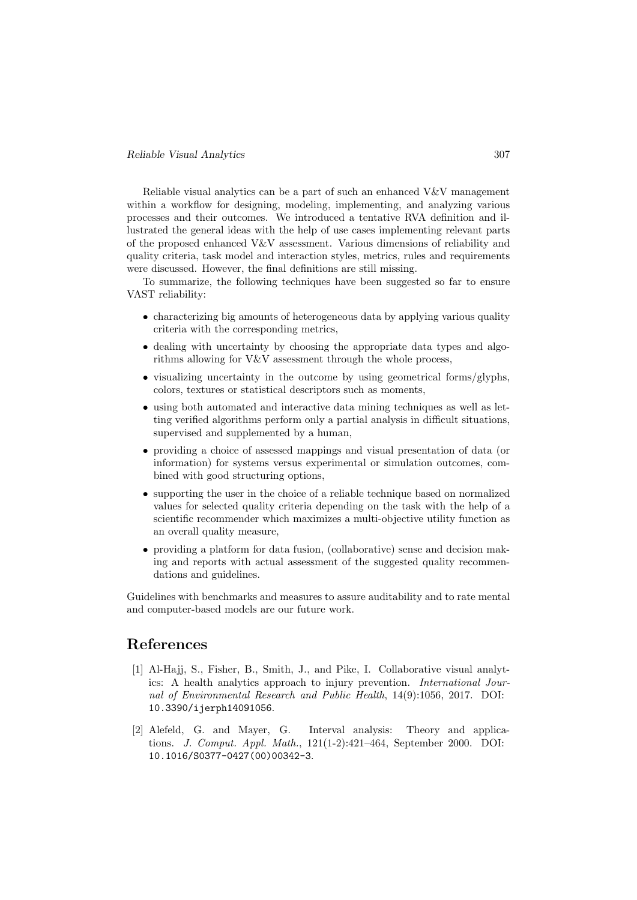Reliable visual analytics can be a part of such an enhanced V&V management within a workflow for designing, modeling, implementing, and analyzing various processes and their outcomes. We introduced a tentative RVA definition and illustrated the general ideas with the help of use cases implementing relevant parts of the proposed enhanced V&V assessment. Various dimensions of reliability and quality criteria, task model and interaction styles, metrics, rules and requirements were discussed. However, the final definitions are still missing.

To summarize, the following techniques have been suggested so far to ensure VAST reliability:

- characterizing big amounts of heterogeneous data by applying various quality criteria with the corresponding metrics,
- dealing with uncertainty by choosing the appropriate data types and algorithms allowing for  $V\&V$  assessment through the whole process,
- visualizing uncertainty in the outcome by using geometrical forms/glyphs, colors, textures or statistical descriptors such as moments,
- using both automated and interactive data mining techniques as well as letting verified algorithms perform only a partial analysis in difficult situations, supervised and supplemented by a human,
- providing a choice of assessed mappings and visual presentation of data (or information) for systems versus experimental or simulation outcomes, combined with good structuring options,
- supporting the user in the choice of a reliable technique based on normalized values for selected quality criteria depending on the task with the help of a scientific recommender which maximizes a multi-objective utility function as an overall quality measure,
- providing a platform for data fusion, (collaborative) sense and decision making and reports with actual assessment of the suggested quality recommendations and guidelines.

Guidelines with benchmarks and measures to assure auditability and to rate mental and computer-based models are our future work.

### References

- [1] Al-Hajj, S., Fisher, B., Smith, J., and Pike, I. Collaborative visual analytics: A health analytics approach to injury prevention. International Journal of Environmental Research and Public Health, 14(9):1056, 2017. DOI: 10.3390/ijerph14091056.
- [2] Alefeld, G. and Mayer, G. Interval analysis: Theory and applications. J. Comput. Appl. Math., 121(1-2):421–464, September 2000. DOI: 10.1016/S0377-0427(00)00342-3.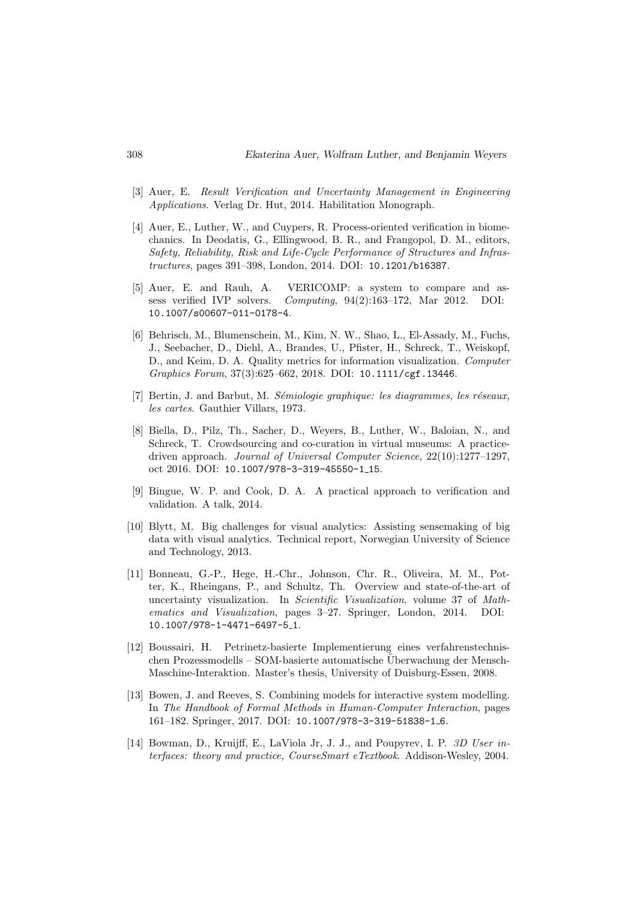- [3] Auer, E. Result Verification and Uncertainty Management in Engineering Applications. Verlag Dr. Hut, 2014. Habilitation Monograph.
- [4] Auer, E., Luther, W., and Cuypers, R. Process-oriented verification in biomechanics. In Deodatis, G., Ellingwood, B. R., and Frangopol, D. M., editors, Safety, Reliability, Risk and Life-Cycle Performance of Structures and Infrastructures, pages 391–398, London, 2014. DOI: 10.1201/b16387.
- [5] Auer, E. and Rauh, A. VERICOMP: a system to compare and assess verified IVP solvers. Computing, 94(2):163–172, Mar 2012. DOI: 10.1007/s00607-011-0178-4.
- [6] Behrisch, M., Blumenschein, M., Kim, N. W., Shao, L., El-Assady, M., Fuchs, J., Seebacher, D., Diehl, A., Brandes, U., Pfister, H., Schreck, T., Weiskopf, D., and Keim, D. A. Quality metrics for information visualization. Computer Graphics Forum, 37(3):625–662, 2018. DOI: 10.1111/cgf.13446.
- [7] Bertin, J. and Barbut, M. Sémiologie graphique: les diagrammes, les réseaux, les cartes. Gauthier Villars, 1973.
- [8] Biella, D., Pilz, Th., Sacher, D., Weyers, B., Luther, W., Baloian, N., and Schreck, T. Crowdsourcing and co-curation in virtual museums: A practicedriven approach. Journal of Universal Computer Science, 22(10):1277–1297, oct 2016. DOI: 10.1007/978-3-319-45550-1 15.
- [9] Bingue, W. P. and Cook, D. A. A practical approach to verification and validation. A talk, 2014.
- [10] Blytt, M. Big challenges for visual analytics: Assisting sensemaking of big data with visual analytics. Technical report, Norwegian University of Science and Technology, 2013.
- [11] Bonneau, G.-P., Hege, H.-Chr., Johnson, Chr. R., Oliveira, M. M., Potter, K., Rheingans, P., and Schultz, Th. Overview and state-of-the-art of uncertainty visualization. In Scientific Visualization, volume 37 of Mathematics and Visualization, pages 3–27. Springer, London, 2014. DOI: 10.1007/978-1-4471-6497-5 1.
- [12] Boussairi, H. Petrinetz-basierte Implementierung eines verfahrenstechnischen Prozessmodells – SOM-basierte automatische Überwachung der Mensch-Maschine-Interaktion. Master's thesis, University of Duisburg-Essen, 2008.
- [13] Bowen, J. and Reeves, S. Combining models for interactive system modelling. In The Handbook of Formal Methods in Human-Computer Interaction, pages 161–182. Springer, 2017. DOI: 10.1007/978-3-319-51838-1 6.
- [14] Bowman, D., Kruijff, E., LaViola Jr, J. J., and Poupyrev, I. P. 3D User interfaces: theory and practice, CourseSmart eTextbook. Addison-Wesley, 2004.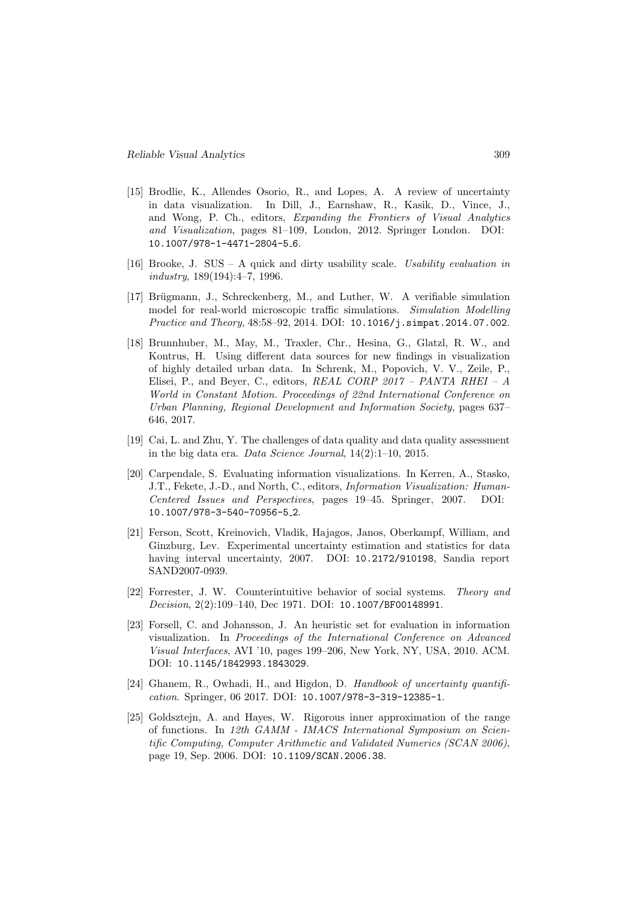- [15] Brodlie, K., Allendes Osorio, R., and Lopes, A. A review of uncertainty in data visualization. In Dill, J., Earnshaw, R., Kasik, D., Vince, J., and Wong, P. Ch., editors, Expanding the Frontiers of Visual Analytics and Visualization, pages 81–109, London, 2012. Springer London. DOI: 10.1007/978-1-4471-2804-5 6.
- [16] Brooke, J. SUS A quick and dirty usability scale. Usability evaluation in industry, 189(194):4–7, 1996.
- [17] Brügmann, J., Schreckenberg, M., and Luther, W. A verifiable simulation model for real-world microscopic traffic simulations. Simulation Modelling Practice and Theory, 48:58–92, 2014. DOI: 10.1016/j.simpat.2014.07.002.
- [18] Brunnhuber, M., May, M., Traxler, Chr., Hesina, G., Glatzl, R. W., and Kontrus, H. Using different data sources for new findings in visualization of highly detailed urban data. In Schrenk, M., Popovich, V. V., Zeile, P., Elisei, P., and Beyer, C., editors, REAL CORP 2017 – PANTA RHEI – A World in Constant Motion. Proceedings of 22nd International Conference on Urban Planning, Regional Development and Information Society, pages 637– 646, 2017.
- [19] Cai, L. and Zhu, Y. The challenges of data quality and data quality assessment in the big data era. Data Science Journal, 14(2):1–10, 2015.
- [20] Carpendale, S. Evaluating information visualizations. In Kerren, A., Stasko, J.T., Fekete, J.-D., and North, C., editors, Information Visualization: Human-Centered Issues and Perspectives, pages 19–45. Springer, 2007. DOI: 10.1007/978-3-540-70956-5 2.
- [21] Ferson, Scott, Kreinovich, Vladik, Hajagos, Janos, Oberkampf, William, and Ginzburg, Lev. Experimental uncertainty estimation and statistics for data having interval uncertainty, 2007. DOI: 10.2172/910198, Sandia report SAND2007-0939.
- [22] Forrester, J. W. Counterintuitive behavior of social systems. Theory and Decision, 2(2):109–140, Dec 1971. DOI: 10.1007/BF00148991.
- [23] Forsell, C. and Johansson, J. An heuristic set for evaluation in information visualization. In Proceedings of the International Conference on Advanced Visual Interfaces, AVI '10, pages 199–206, New York, NY, USA, 2010. ACM. DOI: 10.1145/1842993.1843029.
- [24] Ghanem, R., Owhadi, H., and Higdon, D. Handbook of uncertainty quantification. Springer, 06 2017. DOI: 10.1007/978-3-319-12385-1.
- [25] Goldsztejn, A. and Hayes, W. Rigorous inner approximation of the range of functions. In 12th GAMM - IMACS International Symposium on Scientific Computing, Computer Arithmetic and Validated Numerics (SCAN 2006), page 19, Sep. 2006. DOI: 10.1109/SCAN.2006.38.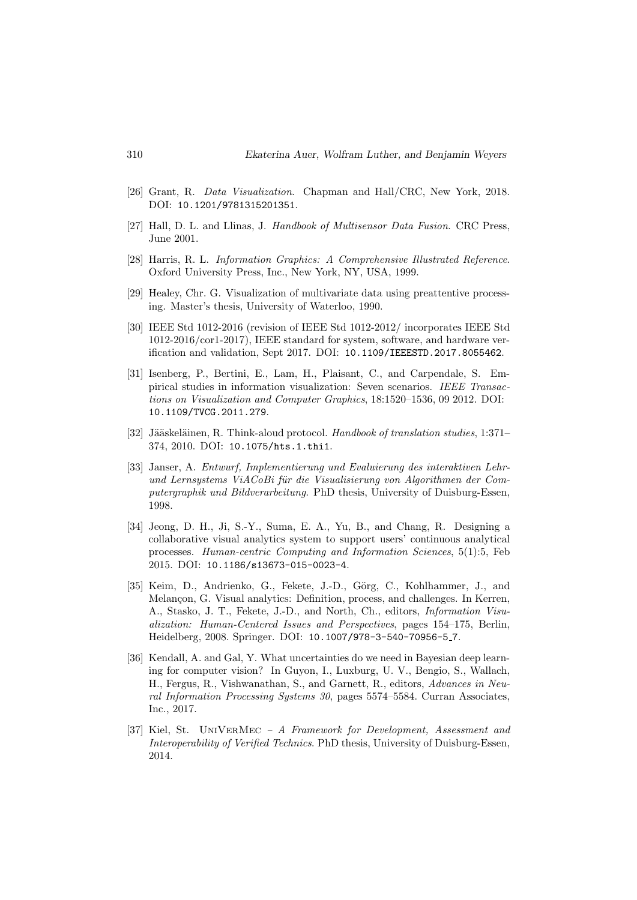- [26] Grant, R. Data Visualization. Chapman and Hall/CRC, New York, 2018. DOI: 10.1201/9781315201351.
- [27] Hall, D. L. and Llinas, J. Handbook of Multisensor Data Fusion. CRC Press, June 2001.
- [28] Harris, R. L. Information Graphics: A Comprehensive Illustrated Reference. Oxford University Press, Inc., New York, NY, USA, 1999.
- [29] Healey, Chr. G. Visualization of multivariate data using preattentive processing. Master's thesis, University of Waterloo, 1990.
- [30] IEEE Std 1012-2016 (revision of IEEE Std 1012-2012/ incorporates IEEE Std 1012-2016/cor1-2017), IEEE standard for system, software, and hardware verification and validation, Sept 2017. DOI: 10.1109/IEEESTD.2017.8055462.
- [31] Isenberg, P., Bertini, E., Lam, H., Plaisant, C., and Carpendale, S. Empirical studies in information visualization: Seven scenarios. IEEE Transactions on Visualization and Computer Graphics, 18:1520–1536, 09 2012. DOI: 10.1109/TVCG.2011.279.
- [32] Jääskeläinen, R. Think-aloud protocol. Handbook of translation studies, 1:371– 374, 2010. DOI: 10.1075/hts.1.thi1.
- [33] Janser, A. Entwurf, Implementierung und Evaluierung des interaktiven Lehrund Lernsystems ViACoBi für die Visualisierung von Algorithmen der Computergraphik und Bildverarbeitung. PhD thesis, University of Duisburg-Essen, 1998.
- [34] Jeong, D. H., Ji, S.-Y., Suma, E. A., Yu, B., and Chang, R. Designing a collaborative visual analytics system to support users' continuous analytical processes. Human-centric Computing and Information Sciences, 5(1):5, Feb 2015. DOI: 10.1186/s13673-015-0023-4.
- [35] Keim, D., Andrienko, G., Fekete, J.-D., Görg, C., Kohlhammer, J., and Melançon, G. Visual analytics: Definition, process, and challenges. In Kerren, A., Stasko, J. T., Fekete, J.-D., and North, Ch., editors, Information Visualization: Human-Centered Issues and Perspectives, pages 154–175, Berlin, Heidelberg, 2008. Springer. DOI: 10.1007/978-3-540-70956-5 7.
- [36] Kendall, A. and Gal, Y. What uncertainties do we need in Bayesian deep learning for computer vision? In Guyon, I., Luxburg, U. V., Bengio, S., Wallach, H., Fergus, R., Vishwanathan, S., and Garnett, R., editors, Advances in Neural Information Processing Systems 30, pages 5574–5584. Curran Associates, Inc., 2017.
- [37] Kiel, St. UniVerMec A Framework for Development, Assessment and Interoperability of Verified Technics. PhD thesis, University of Duisburg-Essen, 2014.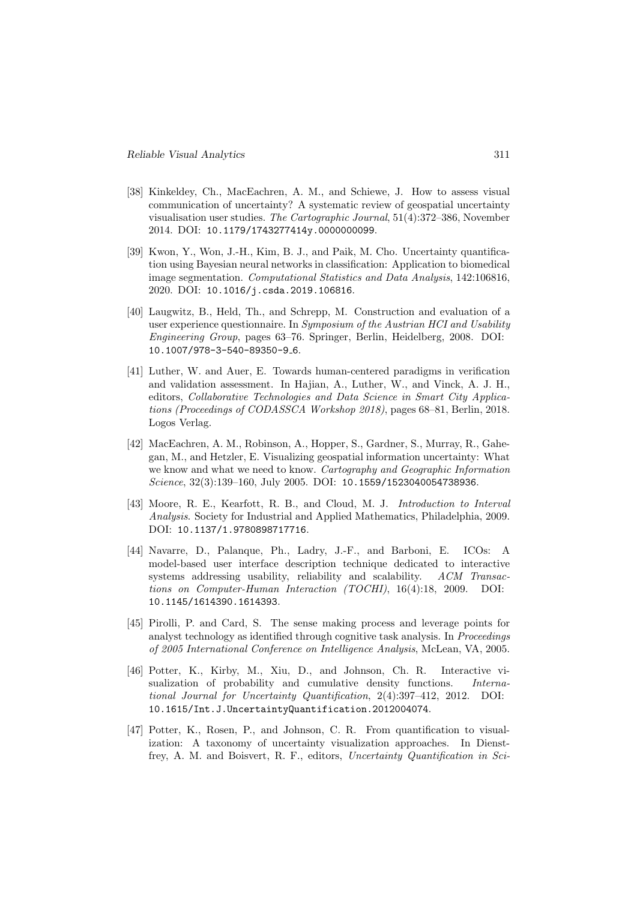- [38] Kinkeldey, Ch., MacEachren, A. M., and Schiewe, J. How to assess visual communication of uncertainty? A systematic review of geospatial uncertainty visualisation user studies. The Cartographic Journal, 51(4):372–386, November 2014. DOI: 10.1179/1743277414y.0000000099.
- [39] Kwon, Y., Won, J.-H., Kim, B. J., and Paik, M. Cho. Uncertainty quantification using Bayesian neural networks in classification: Application to biomedical image segmentation. Computational Statistics and Data Analysis, 142:106816, 2020. DOI: 10.1016/j.csda.2019.106816.
- [40] Laugwitz, B., Held, Th., and Schrepp, M. Construction and evaluation of a user experience questionnaire. In Symposium of the Austrian HCI and Usability Engineering Group, pages 63–76. Springer, Berlin, Heidelberg, 2008. DOI: 10.1007/978-3-540-89350-9 6.
- [41] Luther, W. and Auer, E. Towards human-centered paradigms in verification and validation assessment. In Hajian, A., Luther, W., and Vinck, A. J. H., editors, Collaborative Technologies and Data Science in Smart City Applications (Proceedings of CODASSCA Workshop 2018), pages 68–81, Berlin, 2018. Logos Verlag.
- [42] MacEachren, A. M., Robinson, A., Hopper, S., Gardner, S., Murray, R., Gahegan, M., and Hetzler, E. Visualizing geospatial information uncertainty: What we know and what we need to know. Cartography and Geographic Information Science, 32(3):139–160, July 2005. DOI: 10.1559/1523040054738936.
- [43] Moore, R. E., Kearfott, R. B., and Cloud, M. J. Introduction to Interval Analysis. Society for Industrial and Applied Mathematics, Philadelphia, 2009. DOI: 10.1137/1.9780898717716.
- [44] Navarre, D., Palanque, Ph., Ladry, J.-F., and Barboni, E. ICOs: A model-based user interface description technique dedicated to interactive systems addressing usability, reliability and scalability. ACM Transactions on Computer-Human Interaction (TOCHI), 16(4):18, 2009. DOI: 10.1145/1614390.1614393.
- [45] Pirolli, P. and Card, S. The sense making process and leverage points for analyst technology as identified through cognitive task analysis. In Proceedings of 2005 International Conference on Intelligence Analysis, McLean, VA, 2005.
- [46] Potter, K., Kirby, M., Xiu, D., and Johnson, Ch. R. Interactive visualization of probability and cumulative density functions. International Journal for Uncertainty Quantification, 2(4):397–412, 2012. DOI: 10.1615/Int.J.UncertaintyQuantification.2012004074.
- [47] Potter, K., Rosen, P., and Johnson, C. R. From quantification to visualization: A taxonomy of uncertainty visualization approaches. In Dienstfrey, A. M. and Boisvert, R. F., editors, Uncertainty Quantification in Sci-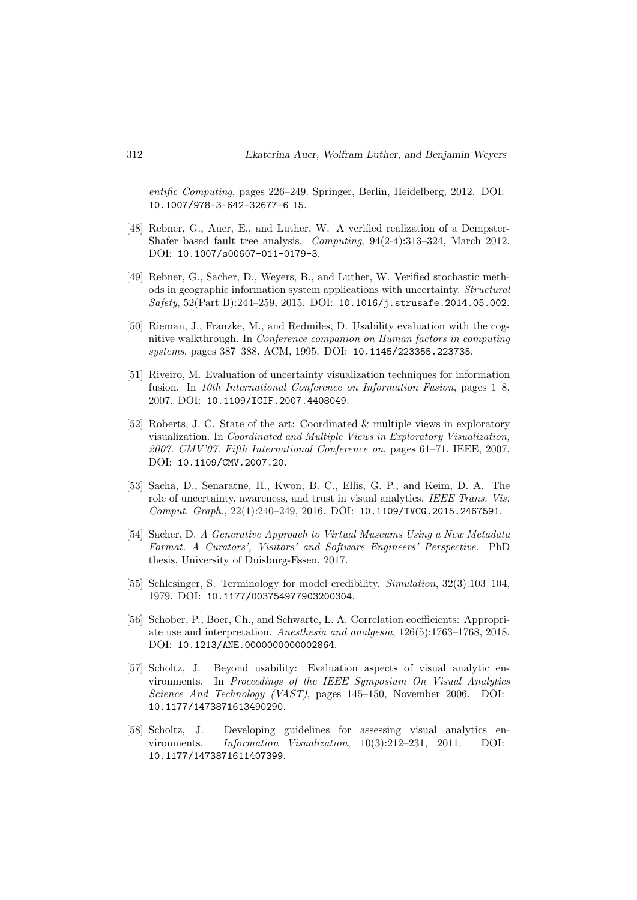entific Computing, pages 226–249. Springer, Berlin, Heidelberg, 2012. DOI: 10.1007/978-3-642-32677-6 15.

- [48] Rebner, G., Auer, E., and Luther, W. A verified realization of a Dempster-Shafer based fault tree analysis. Computing, 94(2-4):313–324, March 2012. DOI: 10.1007/s00607-011-0179-3.
- [49] Rebner, G., Sacher, D., Weyers, B., and Luther, W. Verified stochastic methods in geographic information system applications with uncertainty. Structural Safety, 52(Part B):244–259, 2015. DOI: 10.1016/j.strusafe.2014.05.002.
- [50] Rieman, J., Franzke, M., and Redmiles, D. Usability evaluation with the cognitive walkthrough. In Conference companion on Human factors in computing systems, pages 387–388. ACM, 1995. DOI: 10.1145/223355.223735.
- [51] Riveiro, M. Evaluation of uncertainty visualization techniques for information fusion. In 10th International Conference on Information Fusion, pages 1–8, 2007. DOI: 10.1109/ICIF.2007.4408049.
- [52] Roberts, J. C. State of the art: Coordinated & multiple views in exploratory visualization. In Coordinated and Multiple Views in Exploratory Visualization, 2007. CMV'07. Fifth International Conference on, pages 61–71. IEEE, 2007. DOI: 10.1109/CMV.2007.20.
- [53] Sacha, D., Senaratne, H., Kwon, B. C., Ellis, G. P., and Keim, D. A. The role of uncertainty, awareness, and trust in visual analytics. IEEE Trans. Vis. Comput. Graph., 22(1):240–249, 2016. DOI: 10.1109/TVCG.2015.2467591.
- [54] Sacher, D. A Generative Approach to Virtual Museums Using a New Metadata Format. A Curators', Visitors' and Software Engineers' Perspective. PhD thesis, University of Duisburg-Essen, 2017.
- [55] Schlesinger, S. Terminology for model credibility. Simulation, 32(3):103–104, 1979. DOI: 10.1177/003754977903200304.
- [56] Schober, P., Boer, Ch., and Schwarte, L. A. Correlation coefficients: Appropriate use and interpretation. Anesthesia and analgesia, 126(5):1763–1768, 2018. DOI: 10.1213/ANE.0000000000002864.
- [57] Scholtz, J. Beyond usability: Evaluation aspects of visual analytic environments. In Proceedings of the IEEE Symposium On Visual Analytics Science And Technology (VAST), pages 145–150, November 2006. DOI: 10.1177/1473871613490290.
- [58] Scholtz, J. Developing guidelines for assessing visual analytics environments. Information Visualization, 10(3):212–231, 2011. DOI: 10.1177/1473871611407399.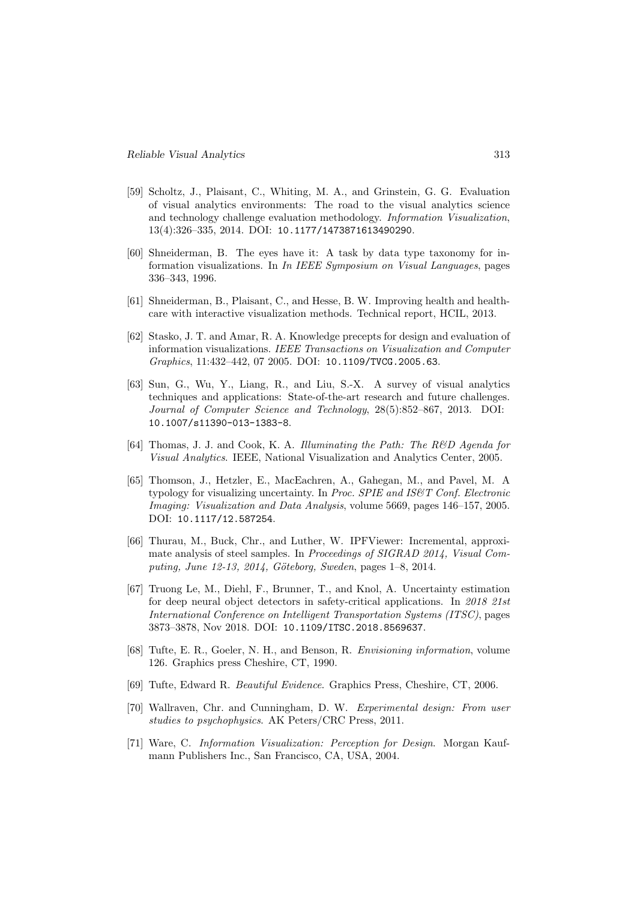- [59] Scholtz, J., Plaisant, C., Whiting, M. A., and Grinstein, G. G. Evaluation of visual analytics environments: The road to the visual analytics science and technology challenge evaluation methodology. Information Visualization, 13(4):326–335, 2014. DOI: 10.1177/1473871613490290.
- [60] Shneiderman, B. The eyes have it: A task by data type taxonomy for information visualizations. In In IEEE Symposium on Visual Languages, pages 336–343, 1996.
- [61] Shneiderman, B., Plaisant, C., and Hesse, B. W. Improving health and healthcare with interactive visualization methods. Technical report, HCIL, 2013.
- [62] Stasko, J. T. and Amar, R. A. Knowledge precepts for design and evaluation of information visualizations. IEEE Transactions on Visualization and Computer Graphics, 11:432–442, 07 2005. DOI: 10.1109/TVCG.2005.63.
- [63] Sun, G., Wu, Y., Liang, R., and Liu, S.-X. A survey of visual analytics techniques and applications: State-of-the-art research and future challenges. Journal of Computer Science and Technology, 28(5):852–867, 2013. DOI: 10.1007/s11390-013-1383-8.
- [64] Thomas, J. J. and Cook, K. A. Illuminating the Path: The R&D Agenda for Visual Analytics. IEEE, National Visualization and Analytics Center, 2005.
- [65] Thomson, J., Hetzler, E., MacEachren, A., Gahegan, M., and Pavel, M. A typology for visualizing uncertainty. In Proc. SPIE and IS $\mathcal{C}T$  Conf. Electronic Imaging: Visualization and Data Analysis, volume 5669, pages 146–157, 2005. DOI: 10.1117/12.587254.
- [66] Thurau, M., Buck, Chr., and Luther, W. IPFViewer: Incremental, approximate analysis of steel samples. In Proceedings of SIGRAD 2014, Visual Computing, June  $12-13$ ,  $2014$ , Göteborg, Sweden, pages  $1-8$ ,  $2014$ .
- [67] Truong Le, M., Diehl, F., Brunner, T., and Knol, A. Uncertainty estimation for deep neural object detectors in safety-critical applications. In 2018 21st International Conference on Intelligent Transportation Systems (ITSC), pages 3873–3878, Nov 2018. DOI: 10.1109/ITSC.2018.8569637.
- [68] Tufte, E. R., Goeler, N. H., and Benson, R. Envisioning information, volume 126. Graphics press Cheshire, CT, 1990.
- [69] Tufte, Edward R. Beautiful Evidence. Graphics Press, Cheshire, CT, 2006.
- [70] Wallraven, Chr. and Cunningham, D. W. Experimental design: From user studies to psychophysics. AK Peters/CRC Press, 2011.
- [71] Ware, C. Information Visualization: Perception for Design. Morgan Kaufmann Publishers Inc., San Francisco, CA, USA, 2004.